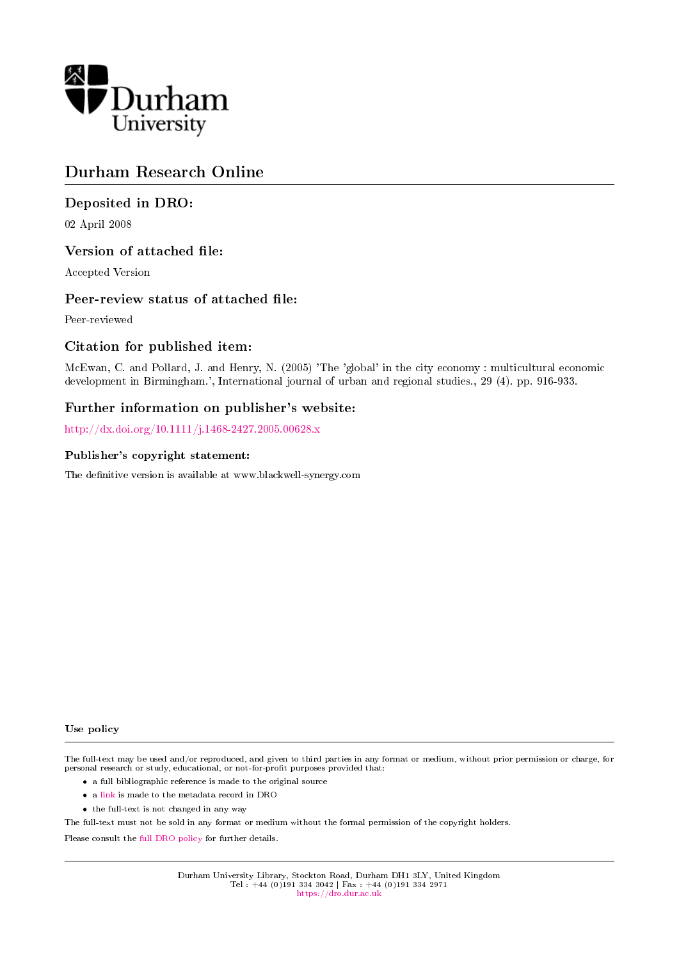

# Durham Research Online

### Deposited in DRO:

02 April 2008

### Version of attached file:

Accepted Version

### Peer-review status of attached file:

Peer-reviewed

### Citation for published item:

McEwan, C. and Pollard, J. and Henry, N. (2005) 'The 'global' in the city economy : multicultural economic development in Birmingham.', International journal of urban and regional studies., 29 (4). pp. 916-933.

### Further information on publisher's website:

<http://dx.doi.org/10.1111/j.1468-2427.2005.00628.x>

#### Publisher's copyright statement:

The definitive version is available at www.blackwell-synergy.com

#### Use policy

The full-text may be used and/or reproduced, and given to third parties in any format or medium, without prior permission or charge, for personal research or study, educational, or not-for-profit purposes provided that:

- a full bibliographic reference is made to the original source
- a [link](http://dro.dur.ac.uk/4995/) is made to the metadata record in DRO
- the full-text is not changed in any way

The full-text must not be sold in any format or medium without the formal permission of the copyright holders.

Please consult the [full DRO policy](https://dro.dur.ac.uk/policies/usepolicy.pdf) for further details.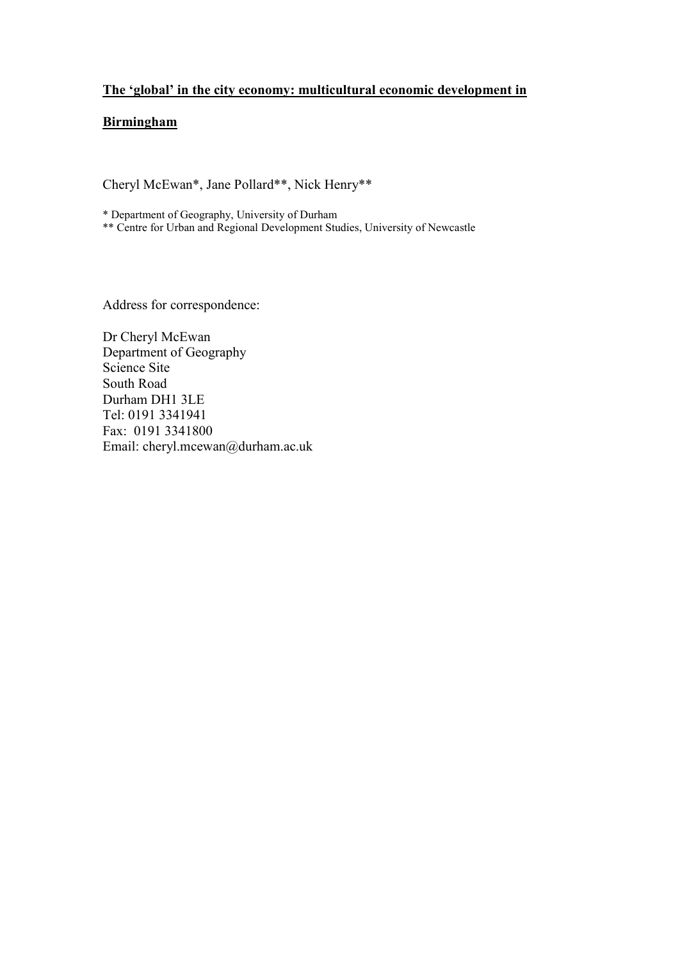## **The 'global' in the city economy: multicultural economic development in**

### **Birmingham**

Cheryl McEwan\*, Jane Pollard\*\*, Nick Henry\*\*

\* Department of Geography, University of Durham

\*\* Centre for Urban and Regional Development Studies, University of Newcastle

Address for correspondence:

Dr Cheryl McEwan Department of Geography Science Site South Road Durham DH1 3LE Tel: 0191 3341941 Fax: 0191 3341800 Email: cheryl.mcewan@durham.ac.uk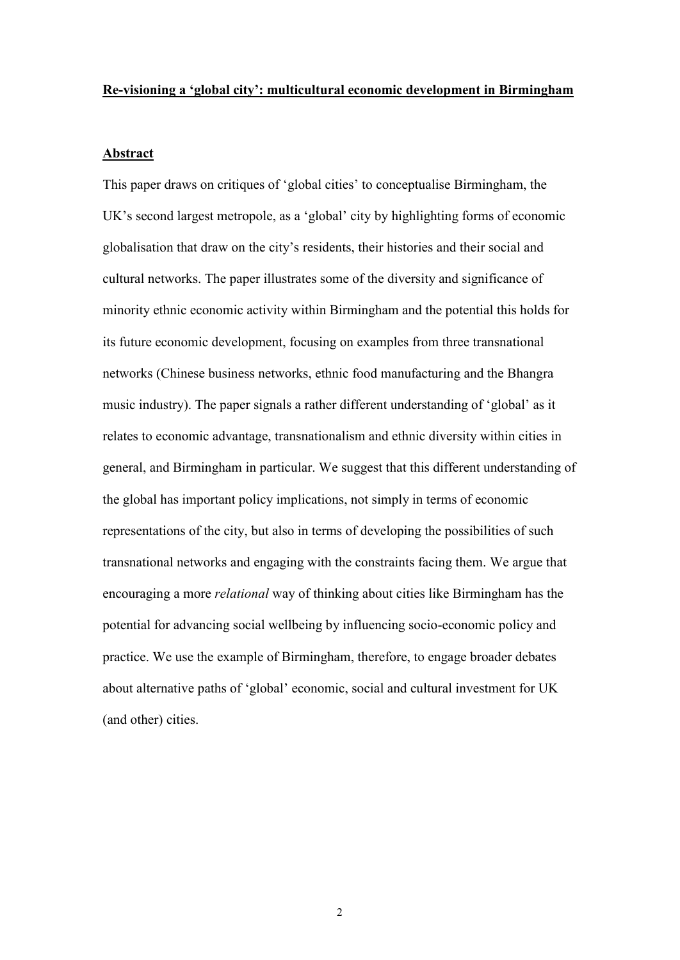#### **Re-visioning a 'global city': multicultural economic development in Birmingham**

#### **Abstract**

This paper draws on critiques of "global cities" to conceptualise Birmingham, the UK"s second largest metropole, as a "global" city by highlighting forms of economic globalisation that draw on the city"s residents, their histories and their social and cultural networks. The paper illustrates some of the diversity and significance of minority ethnic economic activity within Birmingham and the potential this holds for its future economic development, focusing on examples from three transnational networks (Chinese business networks, ethnic food manufacturing and the Bhangra music industry). The paper signals a rather different understanding of "global" as it relates to economic advantage, transnationalism and ethnic diversity within cities in general, and Birmingham in particular. We suggest that this different understanding of the global has important policy implications, not simply in terms of economic representations of the city, but also in terms of developing the possibilities of such transnational networks and engaging with the constraints facing them. We argue that encouraging a more *relational* way of thinking about cities like Birmingham has the potential for advancing social wellbeing by influencing socio-economic policy and practice. We use the example of Birmingham, therefore, to engage broader debates about alternative paths of "global" economic, social and cultural investment for UK (and other) cities.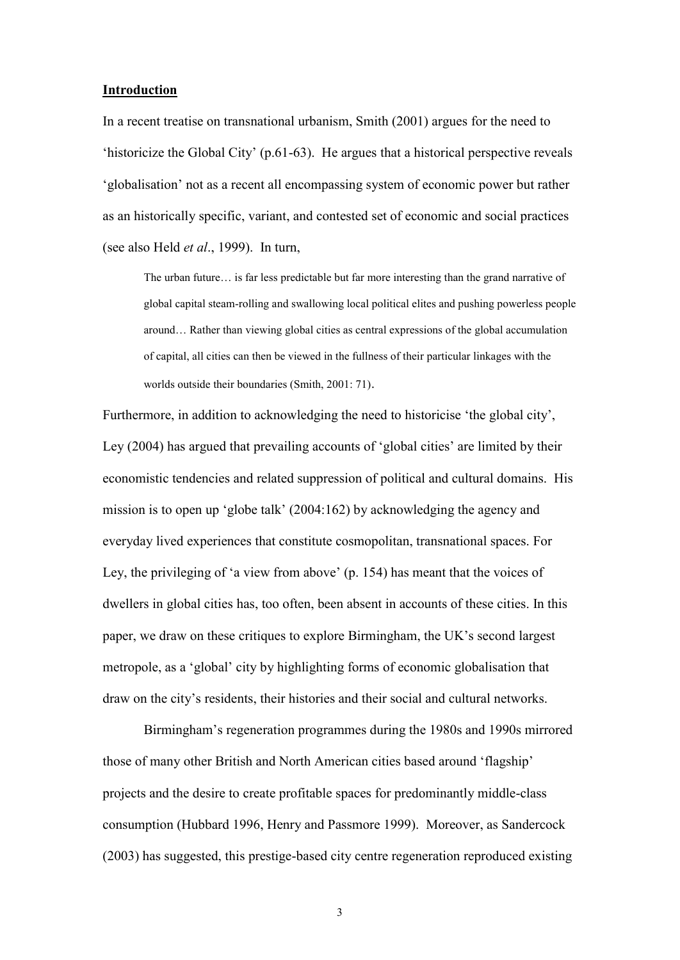#### **Introduction**

In a recent treatise on transnational urbanism, Smith (2001) argues for the need to "historicize the Global City" (p.61-63). He argues that a historical perspective reveals "globalisation" not as a recent all encompassing system of economic power but rather as an historically specific, variant, and contested set of economic and social practices (see also Held *et al*., 1999). In turn,

The urban future… is far less predictable but far more interesting than the grand narrative of global capital steam-rolling and swallowing local political elites and pushing powerless people around… Rather than viewing global cities as central expressions of the global accumulation of capital, all cities can then be viewed in the fullness of their particular linkages with the worlds outside their boundaries (Smith, 2001: 71).

Furthermore, in addition to acknowledging the need to historicise 'the global city', Ley (2004) has argued that prevailing accounts of 'global cities' are limited by their economistic tendencies and related suppression of political and cultural domains. His mission is to open up "globe talk" (2004:162) by acknowledging the agency and everyday lived experiences that constitute cosmopolitan, transnational spaces. For Ley, the privileging of 'a view from above' (p. 154) has meant that the voices of dwellers in global cities has, too often, been absent in accounts of these cities. In this paper, we draw on these critiques to explore Birmingham, the UK"s second largest metropole, as a "global" city by highlighting forms of economic globalisation that draw on the city"s residents, their histories and their social and cultural networks.

Birmingham"s regeneration programmes during the 1980s and 1990s mirrored those of many other British and North American cities based around "flagship" projects and the desire to create profitable spaces for predominantly middle-class consumption (Hubbard 1996, Henry and Passmore 1999). Moreover, as Sandercock (2003) has suggested, this prestige-based city centre regeneration reproduced existing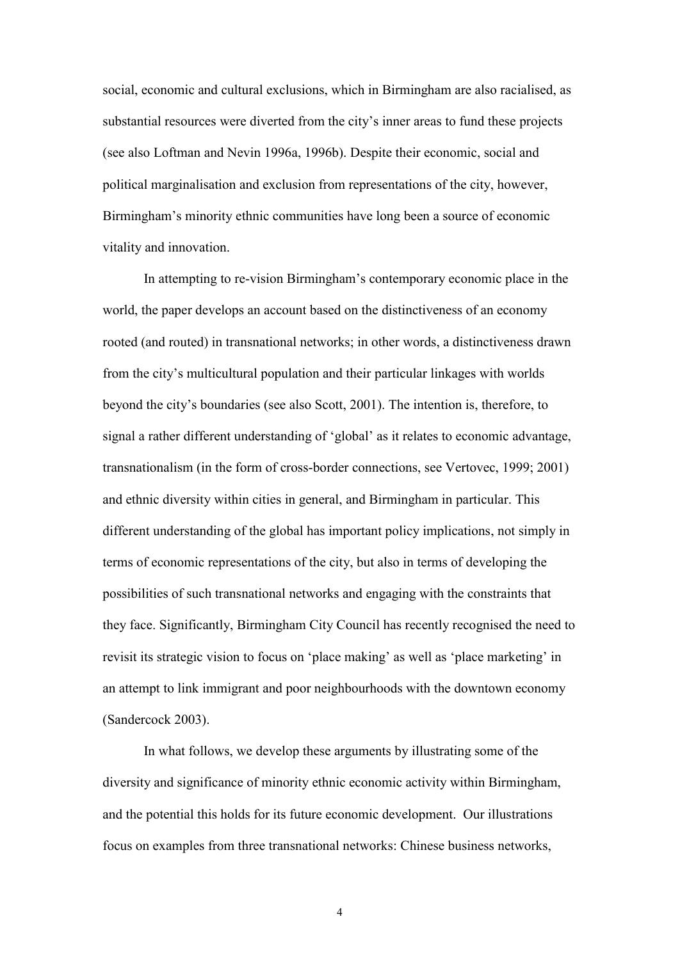social, economic and cultural exclusions, which in Birmingham are also racialised, as substantial resources were diverted from the city"s inner areas to fund these projects (see also Loftman and Nevin 1996a, 1996b). Despite their economic, social and political marginalisation and exclusion from representations of the city, however, Birmingham"s minority ethnic communities have long been a source of economic vitality and innovation.

In attempting to re-vision Birmingham"s contemporary economic place in the world, the paper develops an account based on the distinctiveness of an economy rooted (and routed) in transnational networks; in other words, a distinctiveness drawn from the city"s multicultural population and their particular linkages with worlds beyond the city"s boundaries (see also Scott, 2001). The intention is, therefore, to signal a rather different understanding of "global" as it relates to economic advantage, transnationalism (in the form of cross-border connections, see Vertovec, 1999; 2001) and ethnic diversity within cities in general, and Birmingham in particular. This different understanding of the global has important policy implications, not simply in terms of economic representations of the city, but also in terms of developing the possibilities of such transnational networks and engaging with the constraints that they face. Significantly, Birmingham City Council has recently recognised the need to revisit its strategic vision to focus on 'place making' as well as 'place marketing' in an attempt to link immigrant and poor neighbourhoods with the downtown economy (Sandercock 2003).

In what follows, we develop these arguments by illustrating some of the diversity and significance of minority ethnic economic activity within Birmingham, and the potential this holds for its future economic development. Our illustrations focus on examples from three transnational networks: Chinese business networks,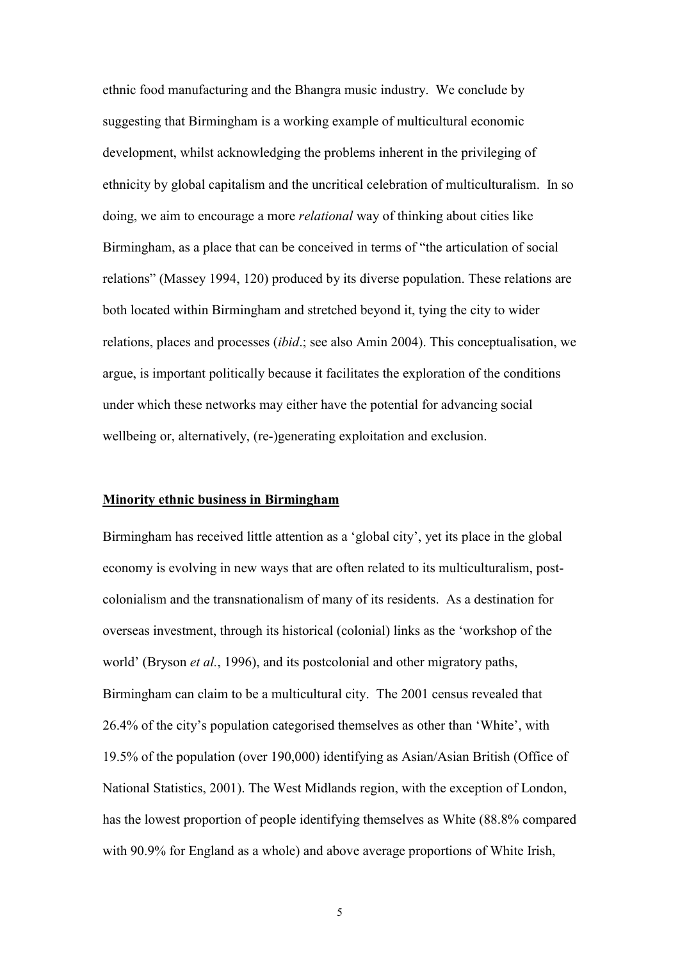ethnic food manufacturing and the Bhangra music industry. We conclude by suggesting that Birmingham is a working example of multicultural economic development, whilst acknowledging the problems inherent in the privileging of ethnicity by global capitalism and the uncritical celebration of multiculturalism. In so doing, we aim to encourage a more *relational* way of thinking about cities like Birmingham, as a place that can be conceived in terms of "the articulation of social relations" (Massey 1994, 120) produced by its diverse population. These relations are both located within Birmingham and stretched beyond it, tying the city to wider relations, places and processes (*ibid*.; see also Amin 2004). This conceptualisation, we argue, is important politically because it facilitates the exploration of the conditions under which these networks may either have the potential for advancing social wellbeing or, alternatively, (re-)generating exploitation and exclusion.

#### **Minority ethnic business in Birmingham**

Birmingham has received little attention as a "global city", yet its place in the global economy is evolving in new ways that are often related to its multiculturalism, postcolonialism and the transnationalism of many of its residents. As a destination for overseas investment, through its historical (colonial) links as the "workshop of the world" (Bryson *et al.*, 1996), and its postcolonial and other migratory paths, Birmingham can claim to be a multicultural city. The 2001 census revealed that 26.4% of the city"s population categorised themselves as other than "White", with 19.5% of the population (over 190,000) identifying as Asian/Asian British (Office of National Statistics, 2001). The West Midlands region, with the exception of London, has the lowest proportion of people identifying themselves as White (88.8% compared with 90.9% for England as a whole) and above average proportions of White Irish,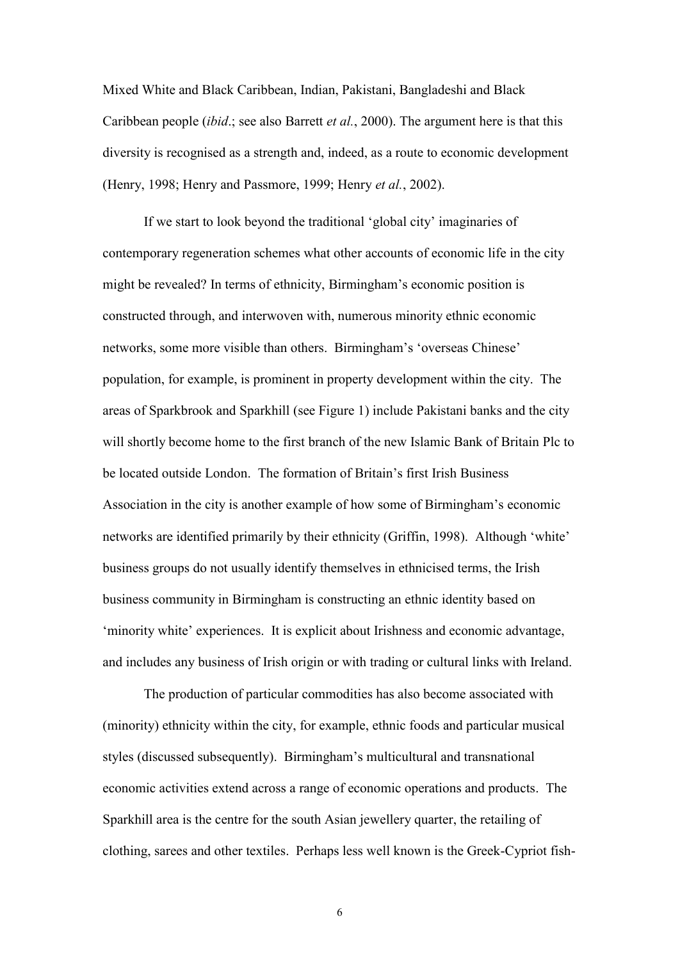Mixed White and Black Caribbean, Indian, Pakistani, Bangladeshi and Black Caribbean people (*ibid*.; see also Barrett *et al.*, 2000). The argument here is that this diversity is recognised as a strength and, indeed, as a route to economic development (Henry, 1998; Henry and Passmore, 1999; Henry *et al.*, 2002).

If we start to look beyond the traditional "global city" imaginaries of contemporary regeneration schemes what other accounts of economic life in the city might be revealed? In terms of ethnicity, Birmingham"s economic position is constructed through, and interwoven with, numerous minority ethnic economic networks, some more visible than others. Birmingham"s "overseas Chinese" population, for example, is prominent in property development within the city. The areas of Sparkbrook and Sparkhill (see Figure 1) include Pakistani banks and the city will shortly become home to the first branch of the new Islamic Bank of Britain Plc to be located outside London. The formation of Britain"s first Irish Business Association in the city is another example of how some of Birmingham"s economic networks are identified primarily by their ethnicity (Griffin, 1998). Although "white" business groups do not usually identify themselves in ethnicised terms, the Irish business community in Birmingham is constructing an ethnic identity based on 'minority white' experiences. It is explicit about Irishness and economic advantage, and includes any business of Irish origin or with trading or cultural links with Ireland.

The production of particular commodities has also become associated with (minority) ethnicity within the city, for example, ethnic foods and particular musical styles (discussed subsequently). Birmingham"s multicultural and transnational economic activities extend across a range of economic operations and products. The Sparkhill area is the centre for the south Asian jewellery quarter, the retailing of clothing, sarees and other textiles. Perhaps less well known is the Greek-Cypriot fish-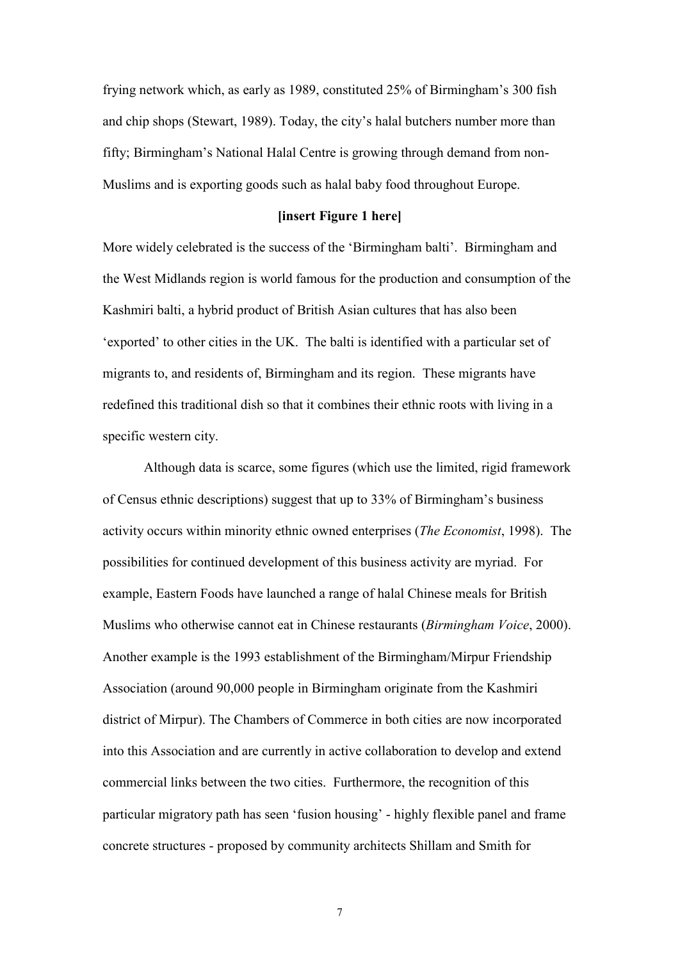frying network which, as early as 1989, constituted 25% of Birmingham"s 300 fish and chip shops (Stewart, 1989). Today, the city's halal butchers number more than fifty; Birmingham"s National Halal Centre is growing through demand from non-Muslims and is exporting goods such as halal baby food throughout Europe.

#### **[insert Figure 1 here]**

More widely celebrated is the success of the 'Birmingham balti'. Birmingham and the West Midlands region is world famous for the production and consumption of the Kashmiri balti, a hybrid product of British Asian cultures that has also been "exported" to other cities in the UK. The balti is identified with a particular set of migrants to, and residents of, Birmingham and its region. These migrants have redefined this traditional dish so that it combines their ethnic roots with living in a specific western city.

Although data is scarce, some figures (which use the limited, rigid framework of Census ethnic descriptions) suggest that up to 33% of Birmingham"s business activity occurs within minority ethnic owned enterprises (*The Economist*, 1998). The possibilities for continued development of this business activity are myriad. For example, Eastern Foods have launched a range of halal Chinese meals for British Muslims who otherwise cannot eat in Chinese restaurants (*Birmingham Voice*, 2000). Another example is the 1993 establishment of the Birmingham/Mirpur Friendship Association (around 90,000 people in Birmingham originate from the Kashmiri district of Mirpur). The Chambers of Commerce in both cities are now incorporated into this Association and are currently in active collaboration to develop and extend commercial links between the two cities. Furthermore, the recognition of this particular migratory path has seen "fusion housing" - highly flexible panel and frame concrete structures - proposed by community architects Shillam and Smith for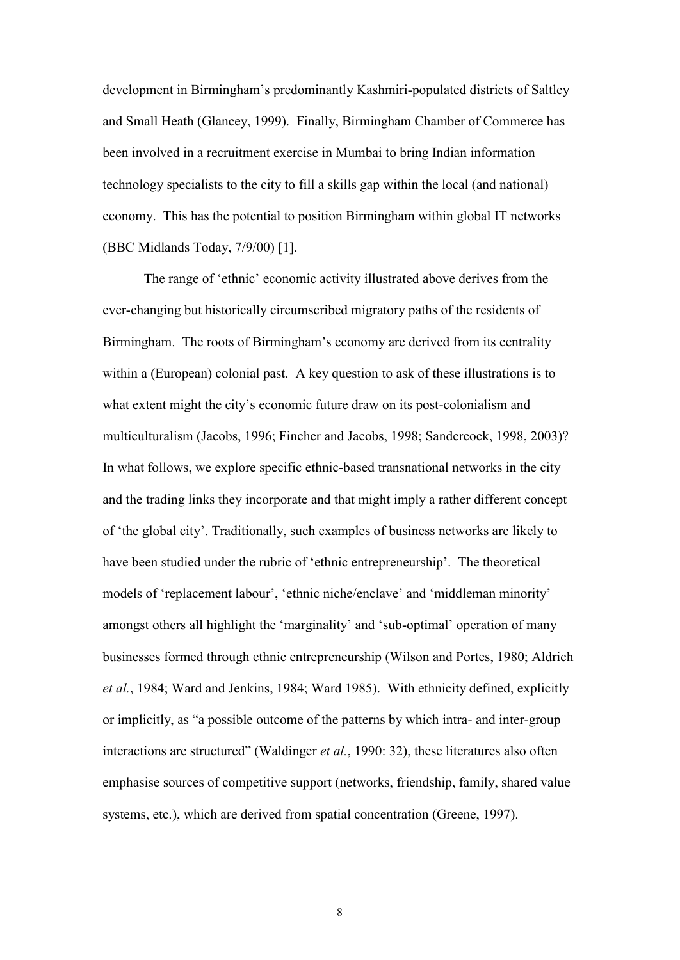development in Birmingham"s predominantly Kashmiri-populated districts of Saltley and Small Heath (Glancey, 1999). Finally, Birmingham Chamber of Commerce has been involved in a recruitment exercise in Mumbai to bring Indian information technology specialists to the city to fill a skills gap within the local (and national) economy. This has the potential to position Birmingham within global IT networks (BBC Midlands Today, 7/9/00) [1].

The range of "ethnic" economic activity illustrated above derives from the ever-changing but historically circumscribed migratory paths of the residents of Birmingham. The roots of Birmingham"s economy are derived from its centrality within a (European) colonial past. A key question to ask of these illustrations is to what extent might the city's economic future draw on its post-colonialism and multiculturalism (Jacobs, 1996; Fincher and Jacobs, 1998; Sandercock, 1998, 2003)? In what follows, we explore specific ethnic-based transnational networks in the city and the trading links they incorporate and that might imply a rather different concept of "the global city". Traditionally, such examples of business networks are likely to have been studied under the rubric of 'ethnic entrepreneurship'. The theoretical models of 'replacement labour', 'ethnic niche/enclave' and 'middleman minority' amongst others all highlight the "marginality" and "sub-optimal" operation of many businesses formed through ethnic entrepreneurship (Wilson and Portes, 1980; Aldrich *et al.*, 1984; Ward and Jenkins, 1984; Ward 1985). With ethnicity defined, explicitly or implicitly, as "a possible outcome of the patterns by which intra- and inter-group interactions are structured" (Waldinger *et al.*, 1990: 32), these literatures also often emphasise sources of competitive support (networks, friendship, family, shared value systems, etc.), which are derived from spatial concentration (Greene, 1997).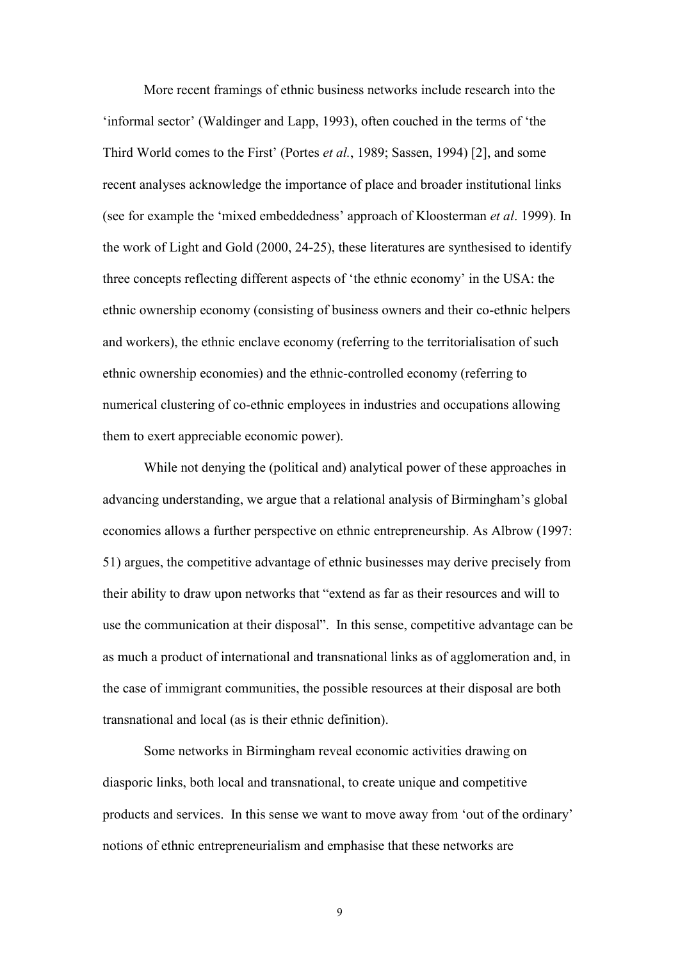More recent framings of ethnic business networks include research into the 'informal sector' (Waldinger and Lapp, 1993), often couched in the terms of 'the Third World comes to the First" (Portes *et al.*, 1989; Sassen, 1994) [2], and some recent analyses acknowledge the importance of place and broader institutional links (see for example the "mixed embeddedness" approach of Kloosterman *et al*. 1999). In the work of Light and Gold (2000, 24-25), these literatures are synthesised to identify three concepts reflecting different aspects of "the ethnic economy" in the USA: the ethnic ownership economy (consisting of business owners and their co-ethnic helpers and workers), the ethnic enclave economy (referring to the territorialisation of such ethnic ownership economies) and the ethnic-controlled economy (referring to numerical clustering of co-ethnic employees in industries and occupations allowing them to exert appreciable economic power).

While not denying the (political and) analytical power of these approaches in advancing understanding, we argue that a relational analysis of Birmingham"s global economies allows a further perspective on ethnic entrepreneurship. As Albrow (1997: 51) argues, the competitive advantage of ethnic businesses may derive precisely from their ability to draw upon networks that "extend as far as their resources and will to use the communication at their disposal". In this sense, competitive advantage can be as much a product of international and transnational links as of agglomeration and, in the case of immigrant communities, the possible resources at their disposal are both transnational and local (as is their ethnic definition).

Some networks in Birmingham reveal economic activities drawing on diasporic links, both local and transnational, to create unique and competitive products and services. In this sense we want to move away from "out of the ordinary" notions of ethnic entrepreneurialism and emphasise that these networks are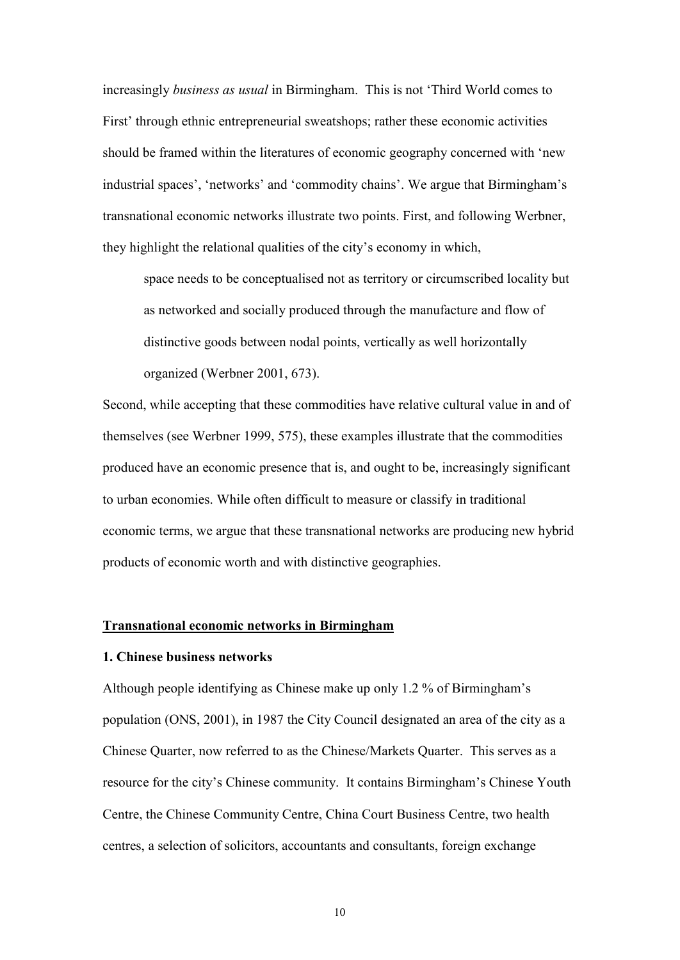increasingly *business as usual* in Birmingham. This is not "Third World comes to First" through ethnic entrepreneurial sweatshops; rather these economic activities should be framed within the literatures of economic geography concerned with "new industrial spaces", "networks" and "commodity chains". We argue that Birmingham"s transnational economic networks illustrate two points. First, and following Werbner, they highlight the relational qualities of the city"s economy in which,

space needs to be conceptualised not as territory or circumscribed locality but as networked and socially produced through the manufacture and flow of distinctive goods between nodal points, vertically as well horizontally organized (Werbner 2001, 673).

Second, while accepting that these commodities have relative cultural value in and of themselves (see Werbner 1999, 575), these examples illustrate that the commodities produced have an economic presence that is, and ought to be, increasingly significant to urban economies. While often difficult to measure or classify in traditional economic terms, we argue that these transnational networks are producing new hybrid products of economic worth and with distinctive geographies.

#### **Transnational economic networks in Birmingham**

### **1. Chinese business networks**

Although people identifying as Chinese make up only 1.2 % of Birmingham"s population (ONS, 2001), in 1987 the City Council designated an area of the city as a Chinese Quarter, now referred to as the Chinese/Markets Quarter. This serves as a resource for the city"s Chinese community. It contains Birmingham"s Chinese Youth Centre, the Chinese Community Centre, China Court Business Centre, two health centres, a selection of solicitors, accountants and consultants, foreign exchange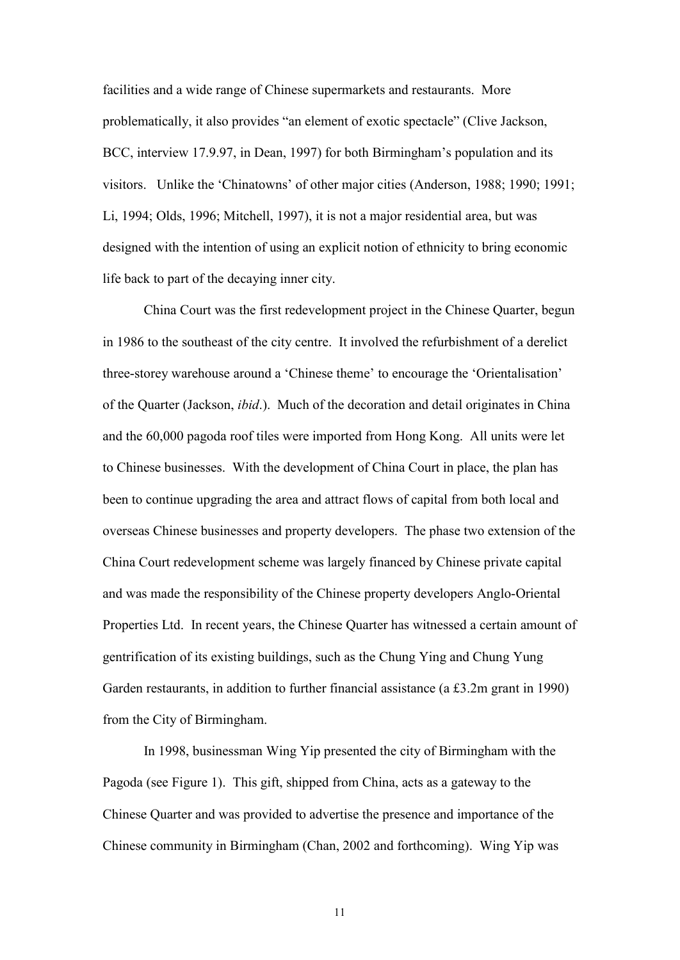facilities and a wide range of Chinese supermarkets and restaurants. More problematically, it also provides "an element of exotic spectacle" (Clive Jackson, BCC, interview 17.9.97, in Dean, 1997) for both Birmingham"s population and its visitors. Unlike the "Chinatowns" of other major cities (Anderson, 1988; 1990; 1991; Li, 1994; Olds, 1996; Mitchell, 1997), it is not a major residential area, but was designed with the intention of using an explicit notion of ethnicity to bring economic life back to part of the decaying inner city.

China Court was the first redevelopment project in the Chinese Quarter, begun in 1986 to the southeast of the city centre. It involved the refurbishment of a derelict three-storey warehouse around a "Chinese theme" to encourage the "Orientalisation" of the Quarter (Jackson, *ibid*.). Much of the decoration and detail originates in China and the 60,000 pagoda roof tiles were imported from Hong Kong. All units were let to Chinese businesses. With the development of China Court in place, the plan has been to continue upgrading the area and attract flows of capital from both local and overseas Chinese businesses and property developers. The phase two extension of the China Court redevelopment scheme was largely financed by Chinese private capital and was made the responsibility of the Chinese property developers Anglo-Oriental Properties Ltd. In recent years, the Chinese Quarter has witnessed a certain amount of gentrification of its existing buildings, such as the Chung Ying and Chung Yung Garden restaurants, in addition to further financial assistance (a £3.2m grant in 1990) from the City of Birmingham.

In 1998, businessman Wing Yip presented the city of Birmingham with the Pagoda (see Figure 1). This gift, shipped from China, acts as a gateway to the Chinese Quarter and was provided to advertise the presence and importance of the Chinese community in Birmingham (Chan, 2002 and forthcoming). Wing Yip was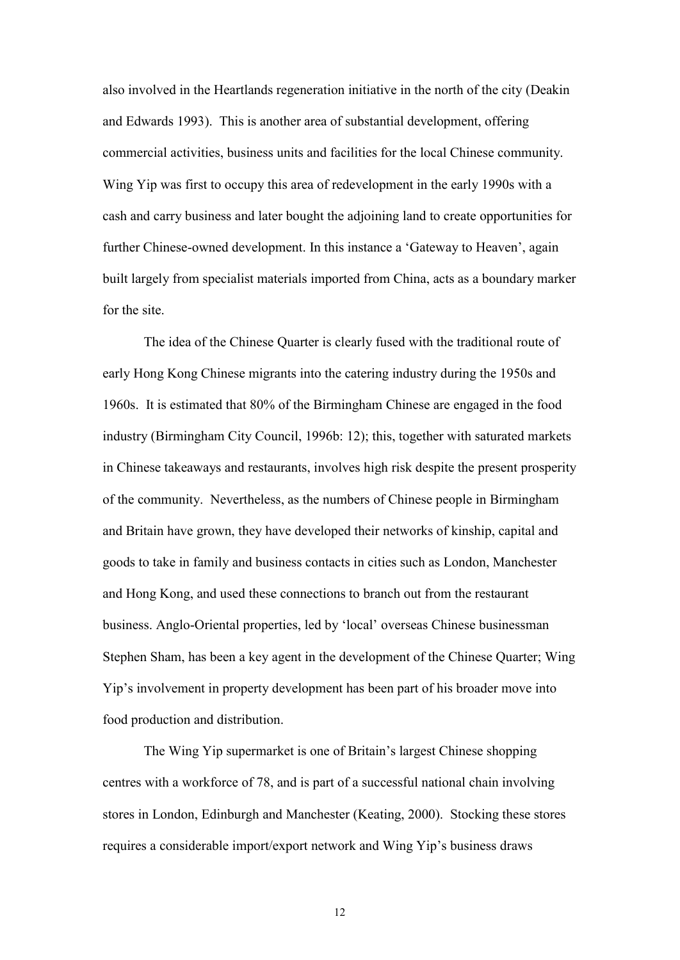also involved in the Heartlands regeneration initiative in the north of the city (Deakin and Edwards 1993). This is another area of substantial development, offering commercial activities, business units and facilities for the local Chinese community. Wing Yip was first to occupy this area of redevelopment in the early 1990s with a cash and carry business and later bought the adjoining land to create opportunities for further Chinese-owned development. In this instance a 'Gateway to Heaven', again built largely from specialist materials imported from China, acts as a boundary marker for the site.

The idea of the Chinese Quarter is clearly fused with the traditional route of early Hong Kong Chinese migrants into the catering industry during the 1950s and 1960s. It is estimated that 80% of the Birmingham Chinese are engaged in the food industry (Birmingham City Council, 1996b: 12); this, together with saturated markets in Chinese takeaways and restaurants, involves high risk despite the present prosperity of the community. Nevertheless, as the numbers of Chinese people in Birmingham and Britain have grown, they have developed their networks of kinship, capital and goods to take in family and business contacts in cities such as London, Manchester and Hong Kong, and used these connections to branch out from the restaurant business. Anglo-Oriental properties, led by "local" overseas Chinese businessman Stephen Sham, has been a key agent in the development of the Chinese Quarter; Wing Yip"s involvement in property development has been part of his broader move into food production and distribution.

The Wing Yip supermarket is one of Britain"s largest Chinese shopping centres with a workforce of 78, and is part of a successful national chain involving stores in London, Edinburgh and Manchester (Keating, 2000). Stocking these stores requires a considerable import/export network and Wing Yip"s business draws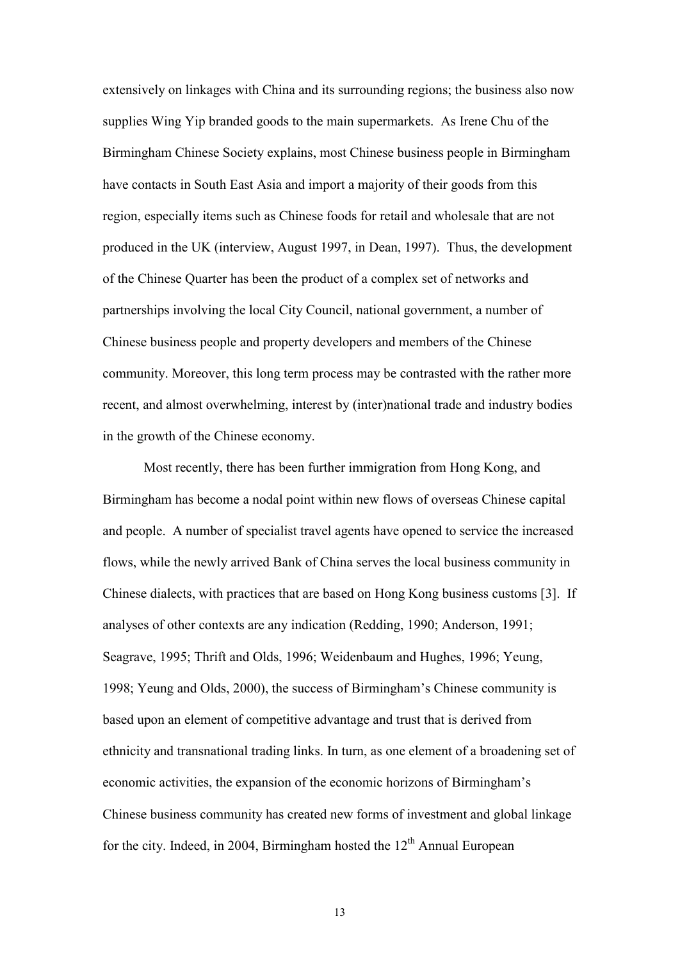extensively on linkages with China and its surrounding regions; the business also now supplies Wing Yip branded goods to the main supermarkets. As Irene Chu of the Birmingham Chinese Society explains, most Chinese business people in Birmingham have contacts in South East Asia and import a majority of their goods from this region, especially items such as Chinese foods for retail and wholesale that are not produced in the UK (interview, August 1997, in Dean, 1997). Thus, the development of the Chinese Quarter has been the product of a complex set of networks and partnerships involving the local City Council, national government, a number of Chinese business people and property developers and members of the Chinese community. Moreover, this long term process may be contrasted with the rather more recent, and almost overwhelming, interest by (inter)national trade and industry bodies in the growth of the Chinese economy.

Most recently, there has been further immigration from Hong Kong, and Birmingham has become a nodal point within new flows of overseas Chinese capital and people. A number of specialist travel agents have opened to service the increased flows, while the newly arrived Bank of China serves the local business community in Chinese dialects, with practices that are based on Hong Kong business customs [3]. If analyses of other contexts are any indication (Redding, 1990; Anderson, 1991; Seagrave, 1995; Thrift and Olds, 1996; Weidenbaum and Hughes, 1996; Yeung, 1998; Yeung and Olds, 2000), the success of Birmingham"s Chinese community is based upon an element of competitive advantage and trust that is derived from ethnicity and transnational trading links. In turn, as one element of a broadening set of economic activities, the expansion of the economic horizons of Birmingham"s Chinese business community has created new forms of investment and global linkage for the city. Indeed, in 2004, Birmingham hosted the  $12<sup>th</sup>$  Annual European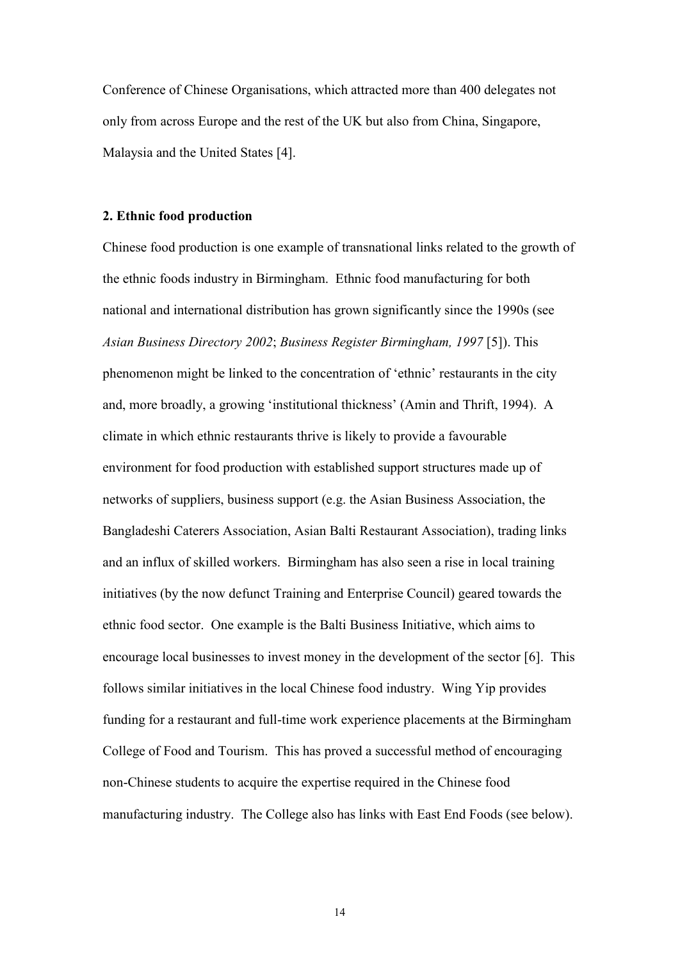Conference of Chinese Organisations, which attracted more than 400 delegates not only from across Europe and the rest of the UK but also from China, Singapore, Malaysia and the United States [4].

#### **2. Ethnic food production**

Chinese food production is one example of transnational links related to the growth of the ethnic foods industry in Birmingham. Ethnic food manufacturing for both national and international distribution has grown significantly since the 1990s (see *Asian Business Directory 2002*; *Business Register Birmingham, 1997* [5]). This phenomenon might be linked to the concentration of "ethnic" restaurants in the city and, more broadly, a growing "institutional thickness" (Amin and Thrift, 1994). A climate in which ethnic restaurants thrive is likely to provide a favourable environment for food production with established support structures made up of networks of suppliers, business support (e.g. the Asian Business Association, the Bangladeshi Caterers Association, Asian Balti Restaurant Association), trading links and an influx of skilled workers. Birmingham has also seen a rise in local training initiatives (by the now defunct Training and Enterprise Council) geared towards the ethnic food sector. One example is the Balti Business Initiative, which aims to encourage local businesses to invest money in the development of the sector [6]. This follows similar initiatives in the local Chinese food industry. Wing Yip provides funding for a restaurant and full-time work experience placements at the Birmingham College of Food and Tourism. This has proved a successful method of encouraging non-Chinese students to acquire the expertise required in the Chinese food manufacturing industry. The College also has links with East End Foods (see below).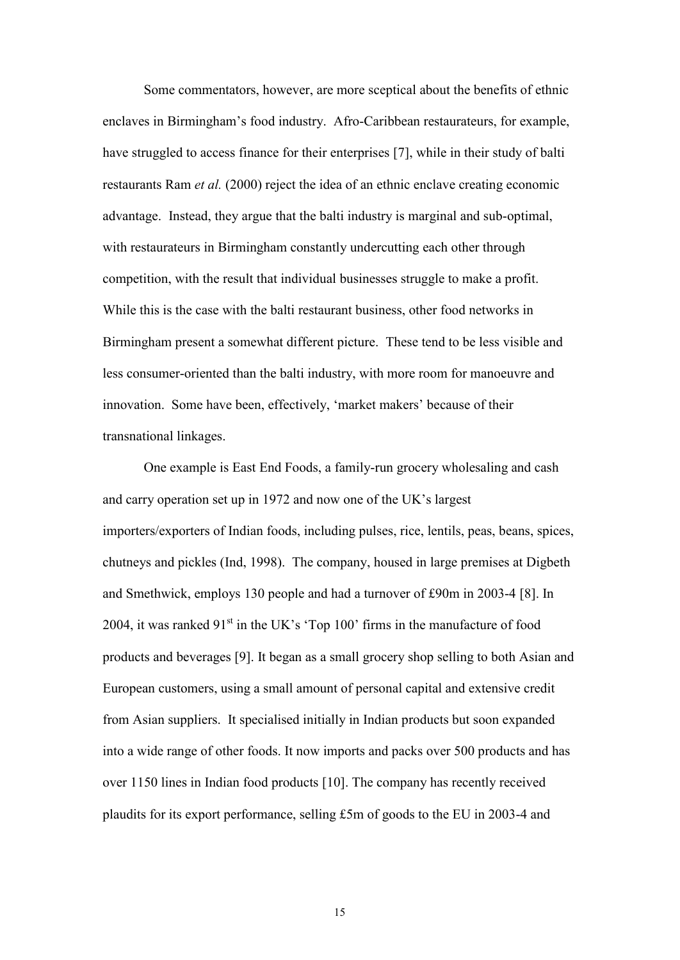Some commentators, however, are more sceptical about the benefits of ethnic enclaves in Birmingham"s food industry. Afro-Caribbean restaurateurs, for example, have struggled to access finance for their enterprises [7], while in their study of balti restaurants Ram *et al.* (2000) reject the idea of an ethnic enclave creating economic advantage. Instead, they argue that the balti industry is marginal and sub-optimal, with restaurateurs in Birmingham constantly undercutting each other through competition, with the result that individual businesses struggle to make a profit. While this is the case with the balti restaurant business, other food networks in Birmingham present a somewhat different picture. These tend to be less visible and less consumer-oriented than the balti industry, with more room for manoeuvre and innovation. Some have been, effectively, 'market makers' because of their transnational linkages.

One example is East End Foods, a family-run grocery wholesaling and cash and carry operation set up in 1972 and now one of the UK"s largest importers/exporters of Indian foods, including pulses, rice, lentils, peas, beans, spices, chutneys and pickles (Ind, 1998). The company, housed in large premises at Digbeth and Smethwick, employs 130 people and had a turnover of £90m in 2003-4 [8]. In 2004, it was ranked  $91<sup>st</sup>$  in the UK's 'Top 100' firms in the manufacture of food products and beverages [9]. It began as a small grocery shop selling to both Asian and European customers, using a small amount of personal capital and extensive credit from Asian suppliers. It specialised initially in Indian products but soon expanded into a wide range of other foods. It now imports and packs over 500 products and has over 1150 lines in Indian food products [10]. The company has recently received plaudits for its export performance, selling £5m of goods to the EU in 2003-4 and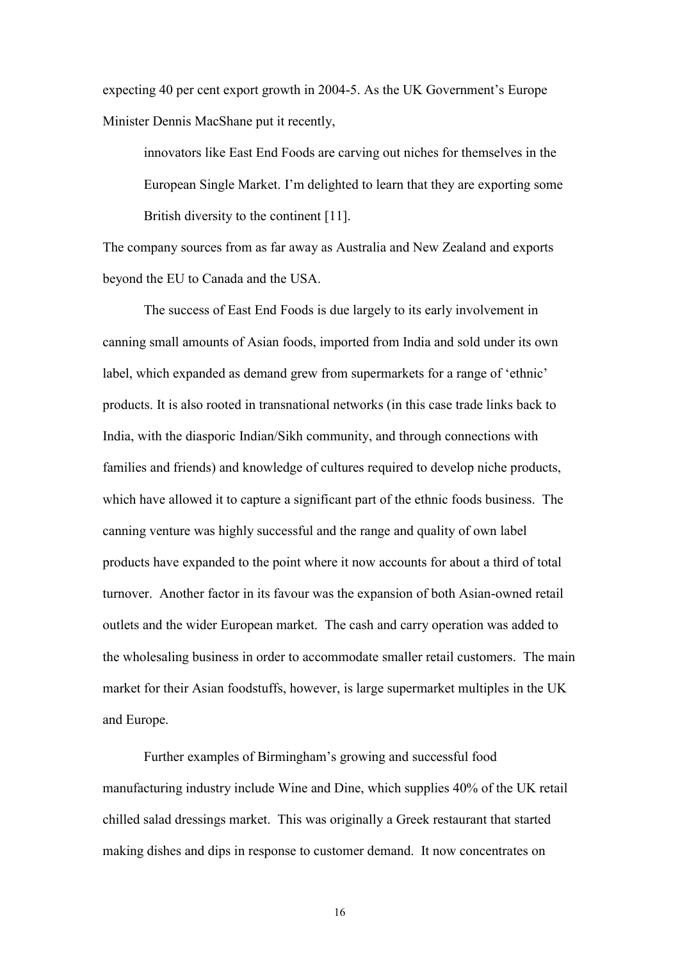expecting 40 per cent export growth in 2004-5. As the UK Government's Europe Minister Dennis MacShane put it recently,

innovators like East End Foods are carving out niches for themselves in the European Single Market. I"m delighted to learn that they are exporting some British diversity to the continent [11].

The company sources from as far away as Australia and New Zealand and exports beyond the EU to Canada and the USA.

The success of East End Foods is due largely to its early involvement in canning small amounts of Asian foods, imported from India and sold under its own label, which expanded as demand grew from supermarkets for a range of "ethnic" products. It is also rooted in transnational networks (in this case trade links back to India, with the diasporic Indian/Sikh community, and through connections with families and friends) and knowledge of cultures required to develop niche products, which have allowed it to capture a significant part of the ethnic foods business. The canning venture was highly successful and the range and quality of own label products have expanded to the point where it now accounts for about a third of total turnover. Another factor in its favour was the expansion of both Asian-owned retail outlets and the wider European market. The cash and carry operation was added to the wholesaling business in order to accommodate smaller retail customers. The main market for their Asian foodstuffs, however, is large supermarket multiples in the UK and Europe.

Further examples of Birmingham"s growing and successful food manufacturing industry include Wine and Dine, which supplies 40% of the UK retail chilled salad dressings market. This was originally a Greek restaurant that started making dishes and dips in response to customer demand. It now concentrates on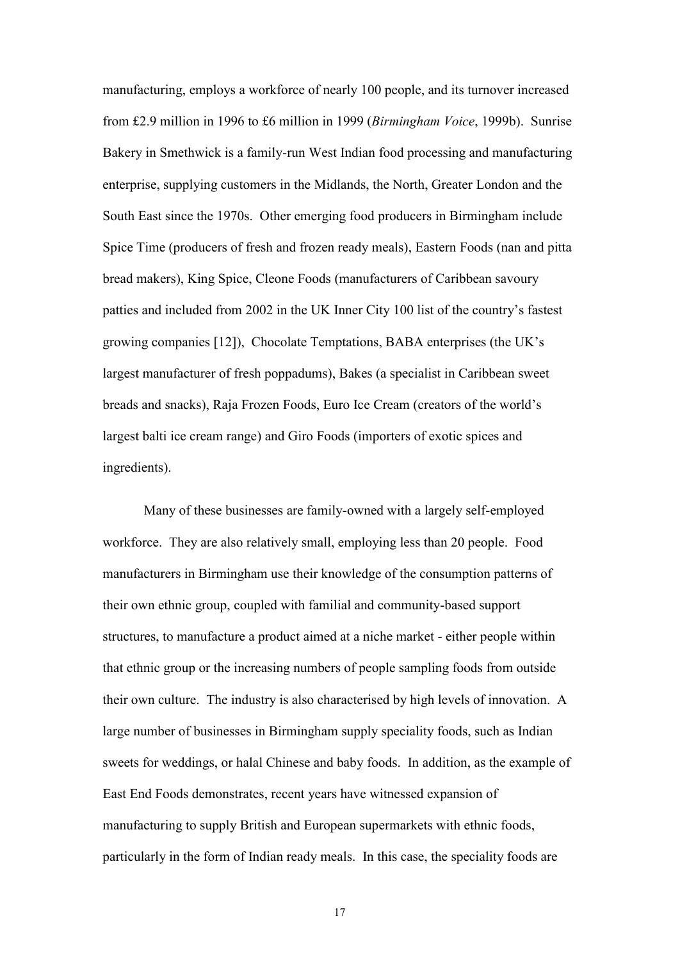manufacturing, employs a workforce of nearly 100 people, and its turnover increased from £2.9 million in 1996 to £6 million in 1999 (*Birmingham Voice*, 1999b). Sunrise Bakery in Smethwick is a family-run West Indian food processing and manufacturing enterprise, supplying customers in the Midlands, the North, Greater London and the South East since the 1970s. Other emerging food producers in Birmingham include Spice Time (producers of fresh and frozen ready meals), Eastern Foods (nan and pitta bread makers), King Spice, Cleone Foods (manufacturers of Caribbean savoury patties and included from 2002 in the UK Inner City 100 list of the country"s fastest growing companies [12]), Chocolate Temptations, BABA enterprises (the UK"s largest manufacturer of fresh poppadums), Bakes (a specialist in Caribbean sweet breads and snacks), Raja Frozen Foods, Euro Ice Cream (creators of the world"s largest balti ice cream range) and Giro Foods (importers of exotic spices and ingredients).

Many of these businesses are family-owned with a largely self-employed workforce. They are also relatively small, employing less than 20 people. Food manufacturers in Birmingham use their knowledge of the consumption patterns of their own ethnic group, coupled with familial and community-based support structures, to manufacture a product aimed at a niche market - either people within that ethnic group or the increasing numbers of people sampling foods from outside their own culture. The industry is also characterised by high levels of innovation. A large number of businesses in Birmingham supply speciality foods, such as Indian sweets for weddings, or halal Chinese and baby foods. In addition, as the example of East End Foods demonstrates, recent years have witnessed expansion of manufacturing to supply British and European supermarkets with ethnic foods, particularly in the form of Indian ready meals. In this case, the speciality foods are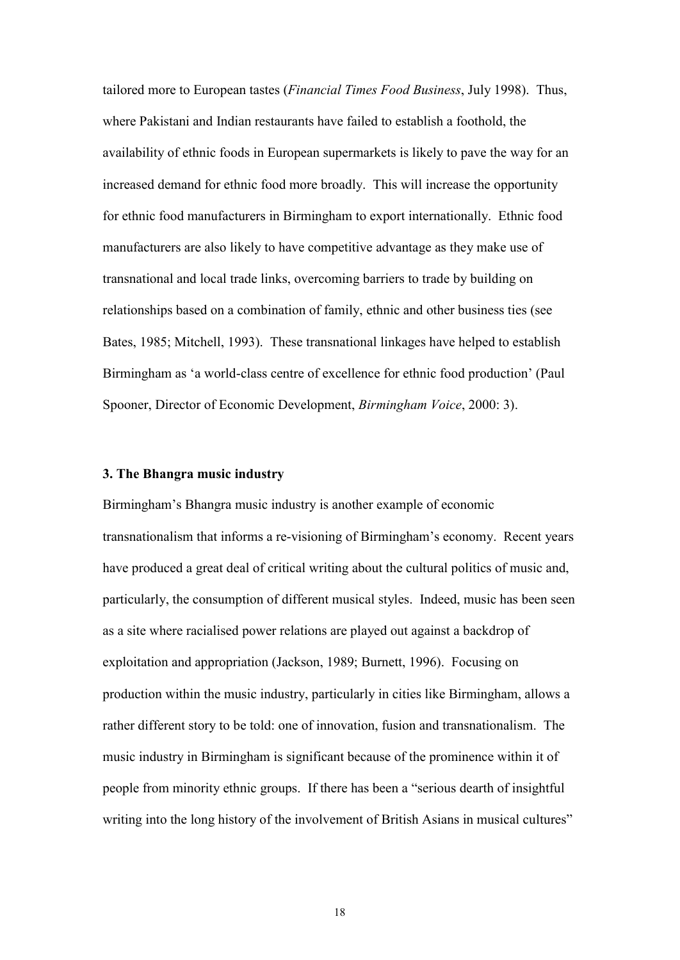tailored more to European tastes (*Financial Times Food Business*, July 1998). Thus, where Pakistani and Indian restaurants have failed to establish a foothold, the availability of ethnic foods in European supermarkets is likely to pave the way for an increased demand for ethnic food more broadly. This will increase the opportunity for ethnic food manufacturers in Birmingham to export internationally. Ethnic food manufacturers are also likely to have competitive advantage as they make use of transnational and local trade links, overcoming barriers to trade by building on relationships based on a combination of family, ethnic and other business ties (see Bates, 1985; Mitchell, 1993). These transnational linkages have helped to establish Birmingham as 'a world-class centre of excellence for ethnic food production' (Paul Spooner, Director of Economic Development, *Birmingham Voice*, 2000: 3).

#### **3. The Bhangra music industry**

Birmingham"s Bhangra music industry is another example of economic transnationalism that informs a re-visioning of Birmingham"s economy. Recent years have produced a great deal of critical writing about the cultural politics of music and, particularly, the consumption of different musical styles. Indeed, music has been seen as a site where racialised power relations are played out against a backdrop of exploitation and appropriation (Jackson, 1989; Burnett, 1996). Focusing on production within the music industry, particularly in cities like Birmingham, allows a rather different story to be told: one of innovation, fusion and transnationalism. The music industry in Birmingham is significant because of the prominence within it of people from minority ethnic groups. If there has been a "serious dearth of insightful writing into the long history of the involvement of British Asians in musical cultures"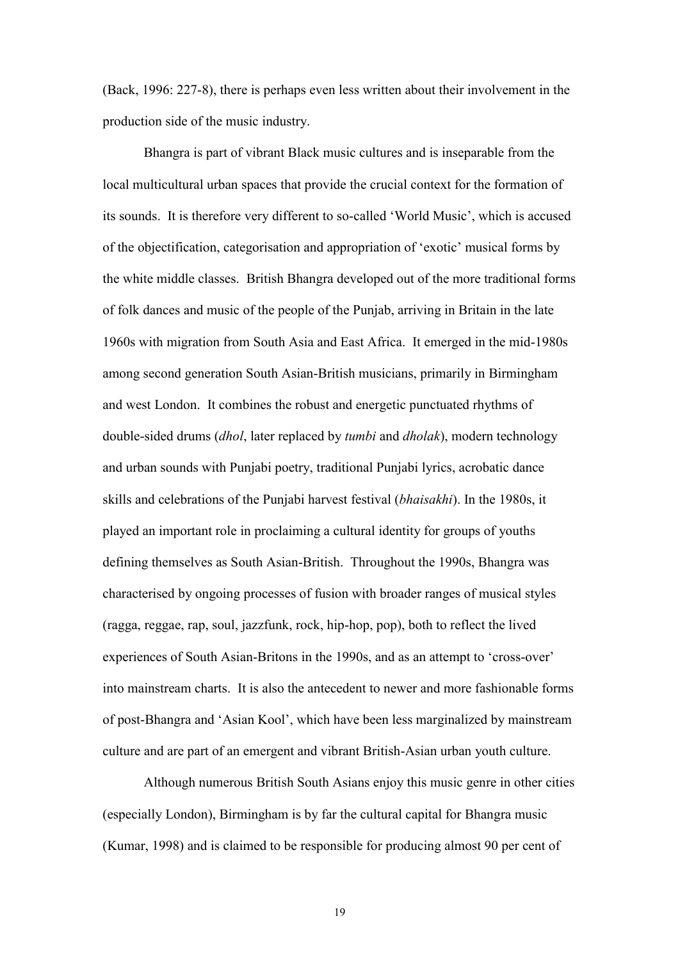(Back, 1996: 227-8), there is perhaps even less written about their involvement in the production side of the music industry.

Bhangra is part of vibrant Black music cultures and is inseparable from the local multicultural urban spaces that provide the crucial context for the formation of its sounds. It is therefore very different to so-called "World Music", which is accused of the objectification, categorisation and appropriation of "exotic" musical forms by the white middle classes. British Bhangra developed out of the more traditional forms of folk dances and music of the people of the Punjab, arriving in Britain in the late 1960s with migration from South Asia and East Africa. It emerged in the mid-1980s among second generation South Asian-British musicians, primarily in Birmingham and west London. It combines the robust and energetic punctuated rhythms of double-sided drums (*dhol*, later replaced by *tumbi* and *dholak*), modern technology and urban sounds with Punjabi poetry, traditional Punjabi lyrics, acrobatic dance skills and celebrations of the Punjabi harvest festival (*bhaisakhi*). In the 1980s, it played an important role in proclaiming a cultural identity for groups of youths defining themselves as South Asian-British. Throughout the 1990s, Bhangra was characterised by ongoing processes of fusion with broader ranges of musical styles (ragga, reggae, rap, soul, jazzfunk, rock, hip-hop, pop), both to reflect the lived experiences of South Asian-Britons in the 1990s, and as an attempt to 'cross-over' into mainstream charts. It is also the antecedent to newer and more fashionable forms of post-Bhangra and "Asian Kool", which have been less marginalized by mainstream culture and are part of an emergent and vibrant British-Asian urban youth culture.

Although numerous British South Asians enjoy this music genre in other cities (especially London), Birmingham is by far the cultural capital for Bhangra music (Kumar, 1998) and is claimed to be responsible for producing almost 90 per cent of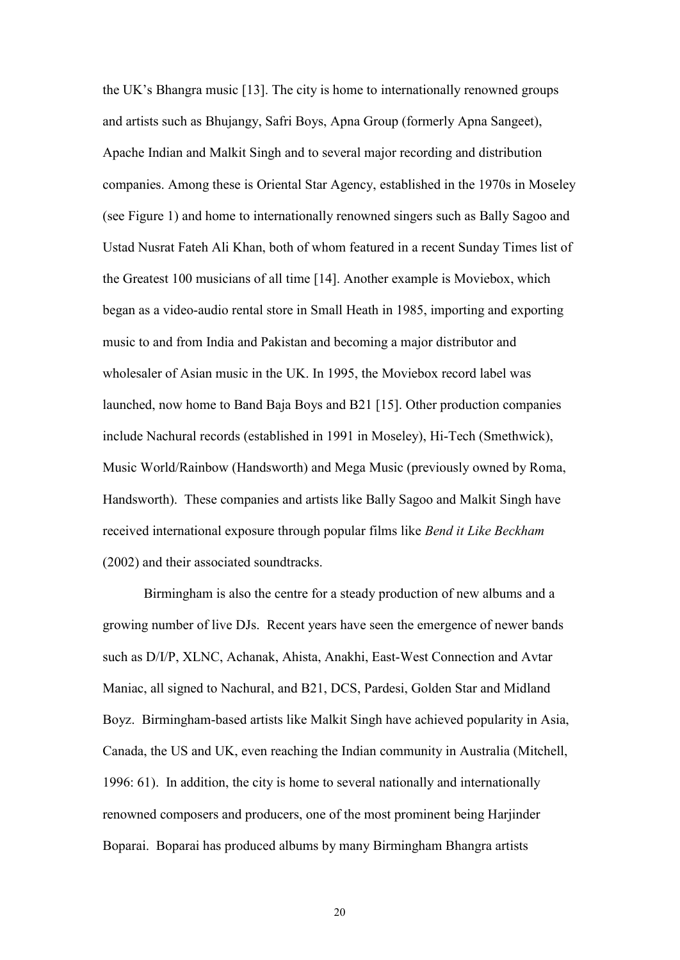the UK"s Bhangra music [13]. The city is home to internationally renowned groups and artists such as Bhujangy, Safri Boys, Apna Group (formerly Apna Sangeet), Apache Indian and Malkit Singh and to several major recording and distribution companies. Among these is Oriental Star Agency, established in the 1970s in Moseley (see Figure 1) and home to internationally renowned singers such as Bally Sagoo and Ustad Nusrat Fateh Ali Khan, both of whom featured in a recent Sunday Times list of the Greatest 100 musicians of all time [14]. Another example is Moviebox, which began as a video-audio rental store in Small Heath in 1985, importing and exporting music to and from India and Pakistan and becoming a major distributor and wholesaler of Asian music in the UK. In 1995, the Moviebox record label was launched, now home to Band Baja Boys and B21 [15]. Other production companies include Nachural records (established in 1991 in Moseley), Hi-Tech (Smethwick), Music World/Rainbow (Handsworth) and Mega Music (previously owned by Roma, Handsworth). These companies and artists like Bally Sagoo and Malkit Singh have received international exposure through popular films like *Bend it Like Beckham* (2002) and their associated soundtracks.

Birmingham is also the centre for a steady production of new albums and a growing number of live DJs. Recent years have seen the emergence of newer bands such as D/I/P, XLNC, Achanak, Ahista, Anakhi, East-West Connection and Avtar Maniac, all signed to Nachural, and B21, DCS, Pardesi, Golden Star and Midland Boyz. Birmingham-based artists like Malkit Singh have achieved popularity in Asia, Canada, the US and UK, even reaching the Indian community in Australia (Mitchell, 1996: 61). In addition, the city is home to several nationally and internationally renowned composers and producers, one of the most prominent being Harjinder Boparai. Boparai has produced albums by many Birmingham Bhangra artists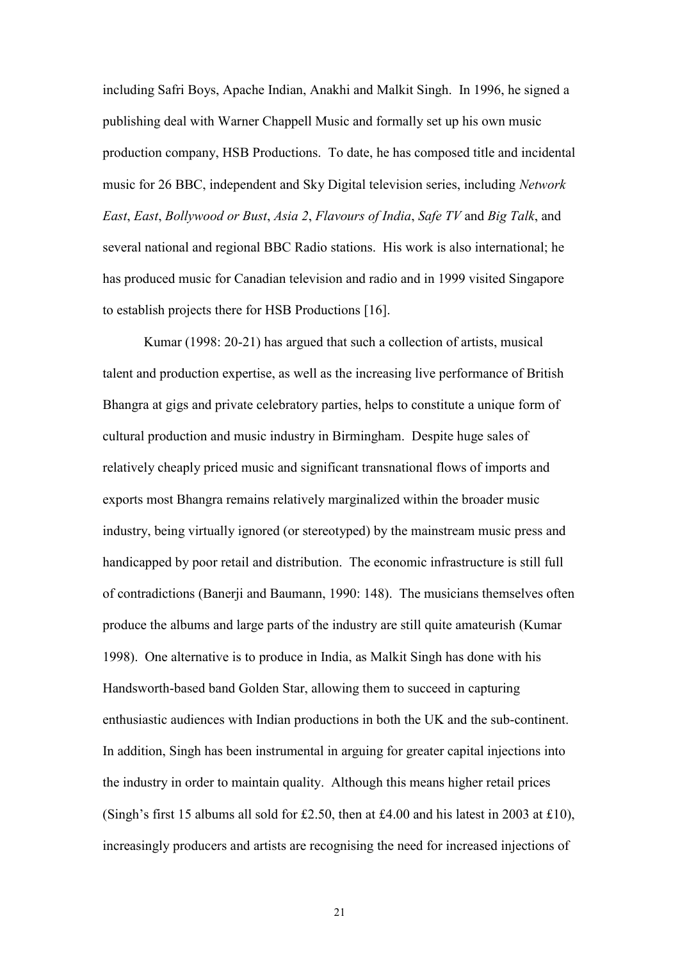including Safri Boys, Apache Indian, Anakhi and Malkit Singh. In 1996, he signed a publishing deal with Warner Chappell Music and formally set up his own music production company, HSB Productions. To date, he has composed title and incidental music for 26 BBC, independent and Sky Digital television series, including *Network East*, *East*, *Bollywood or Bust*, *Asia 2*, *Flavours of India*, *Safe TV* and *Big Talk*, and several national and regional BBC Radio stations. His work is also international; he has produced music for Canadian television and radio and in 1999 visited Singapore to establish projects there for HSB Productions [16].

Kumar (1998: 20-21) has argued that such a collection of artists, musical talent and production expertise, as well as the increasing live performance of British Bhangra at gigs and private celebratory parties, helps to constitute a unique form of cultural production and music industry in Birmingham. Despite huge sales of relatively cheaply priced music and significant transnational flows of imports and exports most Bhangra remains relatively marginalized within the broader music industry, being virtually ignored (or stereotyped) by the mainstream music press and handicapped by poor retail and distribution. The economic infrastructure is still full of contradictions (Banerji and Baumann, 1990: 148). The musicians themselves often produce the albums and large parts of the industry are still quite amateurish (Kumar 1998). One alternative is to produce in India, as Malkit Singh has done with his Handsworth-based band Golden Star, allowing them to succeed in capturing enthusiastic audiences with Indian productions in both the UK and the sub-continent. In addition, Singh has been instrumental in arguing for greater capital injections into the industry in order to maintain quality. Although this means higher retail prices (Singh's first 15 albums all sold for £2.50, then at £4.00 and his latest in 2003 at £10), increasingly producers and artists are recognising the need for increased injections of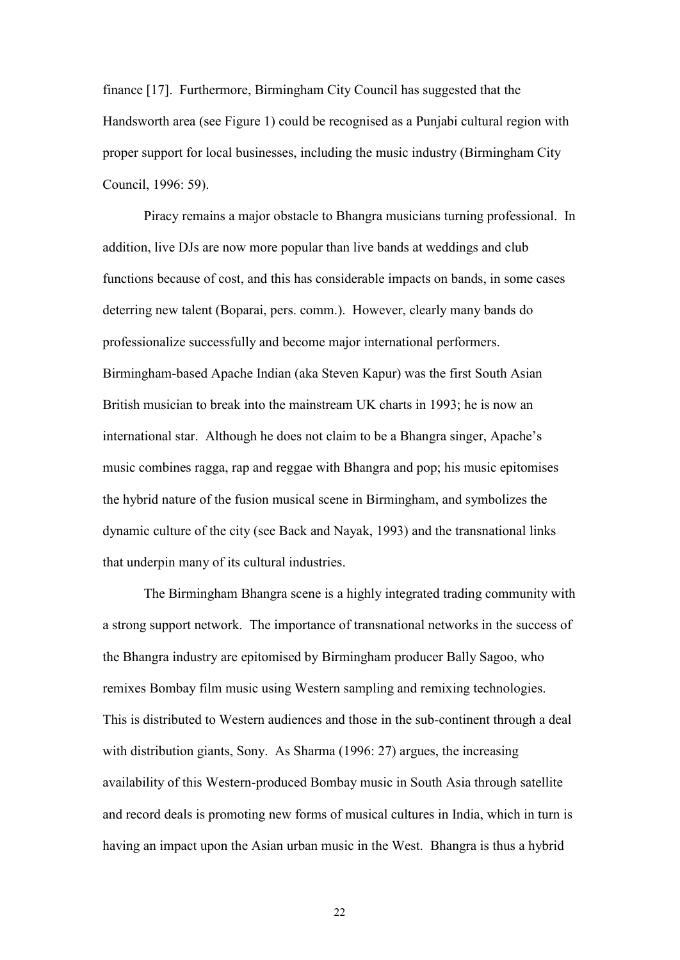finance [17]. Furthermore, Birmingham City Council has suggested that the Handsworth area (see Figure 1) could be recognised as a Punjabi cultural region with proper support for local businesses, including the music industry (Birmingham City Council, 1996: 59).

Piracy remains a major obstacle to Bhangra musicians turning professional. In addition, live DJs are now more popular than live bands at weddings and club functions because of cost, and this has considerable impacts on bands, in some cases deterring new talent (Boparai, pers. comm.). However, clearly many bands do professionalize successfully and become major international performers. Birmingham-based Apache Indian (aka Steven Kapur) was the first South Asian British musician to break into the mainstream UK charts in 1993; he is now an international star. Although he does not claim to be a Bhangra singer, Apache"s music combines ragga, rap and reggae with Bhangra and pop; his music epitomises the hybrid nature of the fusion musical scene in Birmingham, and symbolizes the dynamic culture of the city (see Back and Nayak, 1993) and the transnational links that underpin many of its cultural industries.

The Birmingham Bhangra scene is a highly integrated trading community with a strong support network. The importance of transnational networks in the success of the Bhangra industry are epitomised by Birmingham producer Bally Sagoo, who remixes Bombay film music using Western sampling and remixing technologies. This is distributed to Western audiences and those in the sub-continent through a deal with distribution giants, Sony. As Sharma (1996: 27) argues, the increasing availability of this Western-produced Bombay music in South Asia through satellite and record deals is promoting new forms of musical cultures in India, which in turn is having an impact upon the Asian urban music in the West. Bhangra is thus a hybrid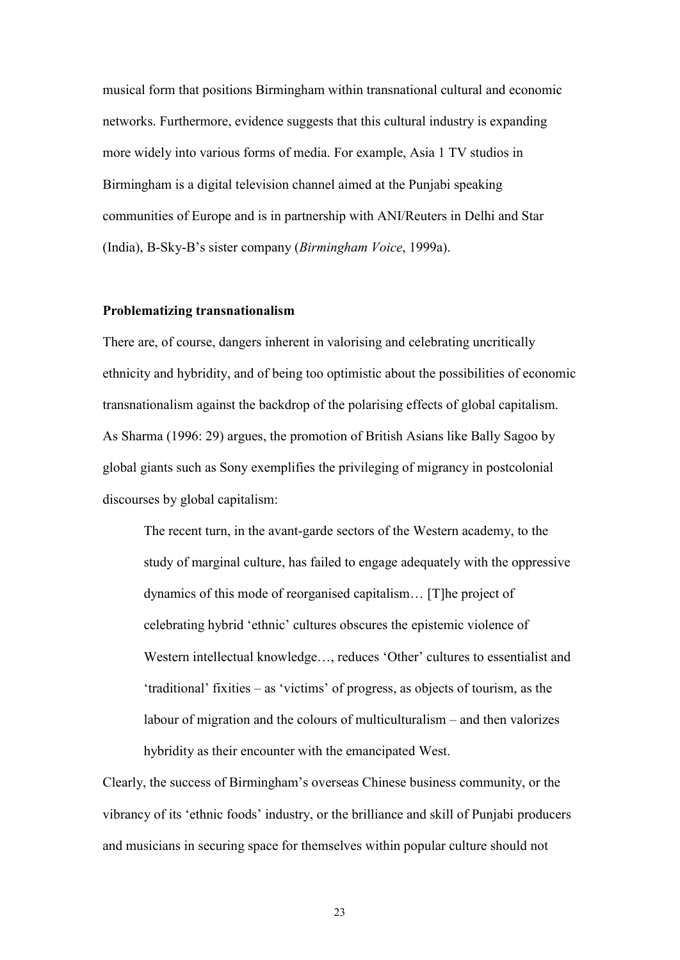musical form that positions Birmingham within transnational cultural and economic networks. Furthermore, evidence suggests that this cultural industry is expanding more widely into various forms of media. For example, Asia 1 TV studios in Birmingham is a digital television channel aimed at the Punjabi speaking communities of Europe and is in partnership with ANI/Reuters in Delhi and Star (India), B-Sky-B"s sister company (*Birmingham Voice*, 1999a).

#### **Problematizing transnationalism**

There are, of course, dangers inherent in valorising and celebrating uncritically ethnicity and hybridity, and of being too optimistic about the possibilities of economic transnationalism against the backdrop of the polarising effects of global capitalism. As Sharma (1996: 29) argues, the promotion of British Asians like Bally Sagoo by global giants such as Sony exemplifies the privileging of migrancy in postcolonial discourses by global capitalism:

The recent turn, in the avant-garde sectors of the Western academy, to the study of marginal culture, has failed to engage adequately with the oppressive dynamics of this mode of reorganised capitalism… [T]he project of celebrating hybrid "ethnic" cultures obscures the epistemic violence of Western intellectual knowledge..., reduces 'Other' cultures to essentialist and  $'$ traditional' fixities – as  $'$ victims' of progress, as objects of tourism, as the labour of migration and the colours of multiculturalism – and then valorizes hybridity as their encounter with the emancipated West.

Clearly, the success of Birmingham"s overseas Chinese business community, or the vibrancy of its "ethnic foods" industry, or the brilliance and skill of Punjabi producers and musicians in securing space for themselves within popular culture should not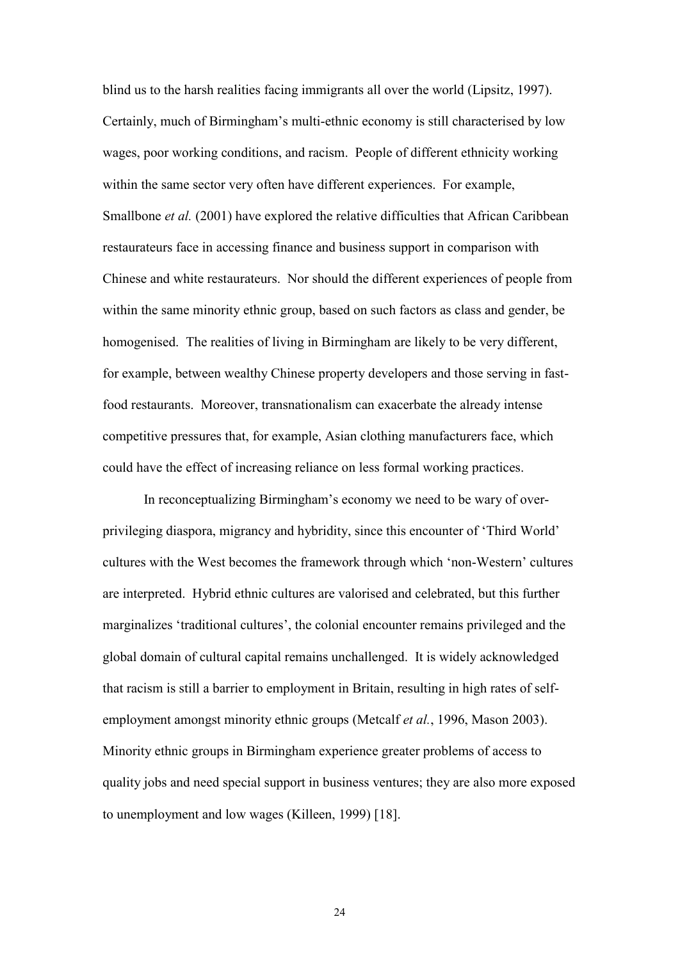blind us to the harsh realities facing immigrants all over the world (Lipsitz, 1997). Certainly, much of Birmingham"s multi-ethnic economy is still characterised by low wages, poor working conditions, and racism. People of different ethnicity working within the same sector very often have different experiences. For example, Smallbone *et al.* (2001) have explored the relative difficulties that African Caribbean restaurateurs face in accessing finance and business support in comparison with Chinese and white restaurateurs. Nor should the different experiences of people from within the same minority ethnic group, based on such factors as class and gender, be homogenised. The realities of living in Birmingham are likely to be very different, for example, between wealthy Chinese property developers and those serving in fastfood restaurants. Moreover, transnationalism can exacerbate the already intense competitive pressures that, for example, Asian clothing manufacturers face, which could have the effect of increasing reliance on less formal working practices.

In reconceptualizing Birmingham"s economy we need to be wary of overprivileging diaspora, migrancy and hybridity, since this encounter of "Third World" cultures with the West becomes the framework through which "non-Western" cultures are interpreted. Hybrid ethnic cultures are valorised and celebrated, but this further marginalizes 'traditional cultures', the colonial encounter remains privileged and the global domain of cultural capital remains unchallenged. It is widely acknowledged that racism is still a barrier to employment in Britain, resulting in high rates of selfemployment amongst minority ethnic groups (Metcalf *et al.*, 1996, Mason 2003). Minority ethnic groups in Birmingham experience greater problems of access to quality jobs and need special support in business ventures; they are also more exposed to unemployment and low wages (Killeen, 1999) [18].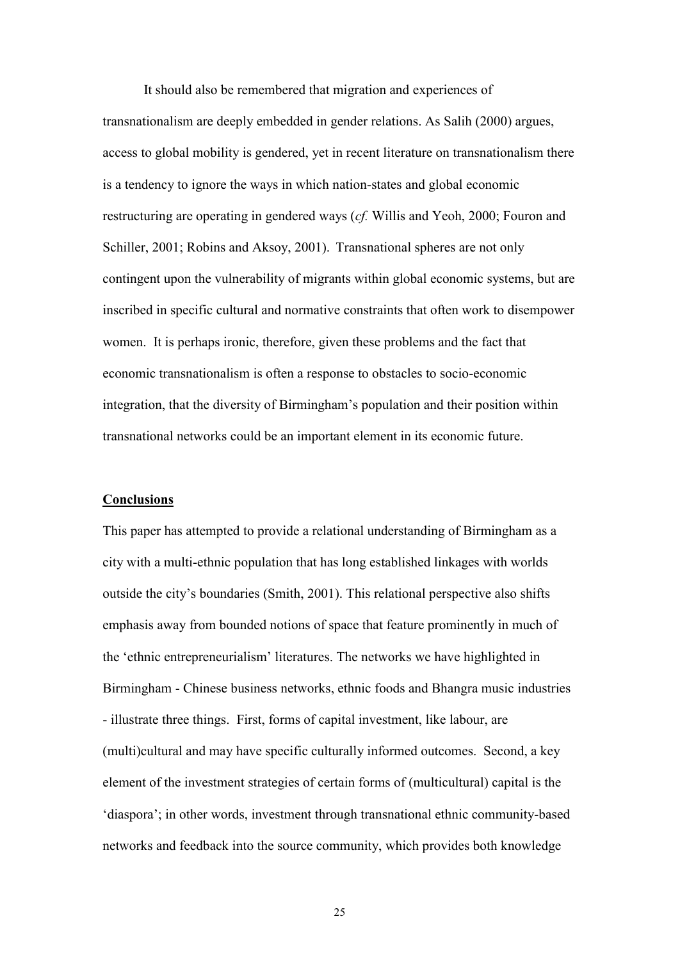It should also be remembered that migration and experiences of transnationalism are deeply embedded in gender relations. As Salih (2000) argues, access to global mobility is gendered, yet in recent literature on transnationalism there is a tendency to ignore the ways in which nation-states and global economic restructuring are operating in gendered ways (*cf.* Willis and Yeoh, 2000; Fouron and Schiller, 2001; Robins and Aksoy, 2001). Transnational spheres are not only contingent upon the vulnerability of migrants within global economic systems, but are inscribed in specific cultural and normative constraints that often work to disempower women. It is perhaps ironic, therefore, given these problems and the fact that economic transnationalism is often a response to obstacles to socio-economic integration, that the diversity of Birmingham"s population and their position within transnational networks could be an important element in its economic future.

#### **Conclusions**

This paper has attempted to provide a relational understanding of Birmingham as a city with a multi-ethnic population that has long established linkages with worlds outside the city"s boundaries (Smith, 2001). This relational perspective also shifts emphasis away from bounded notions of space that feature prominently in much of the "ethnic entrepreneurialism" literatures. The networks we have highlighted in Birmingham - Chinese business networks, ethnic foods and Bhangra music industries - illustrate three things. First, forms of capital investment, like labour, are (multi)cultural and may have specific culturally informed outcomes. Second, a key element of the investment strategies of certain forms of (multicultural) capital is the "diaspora"; in other words, investment through transnational ethnic community-based networks and feedback into the source community, which provides both knowledge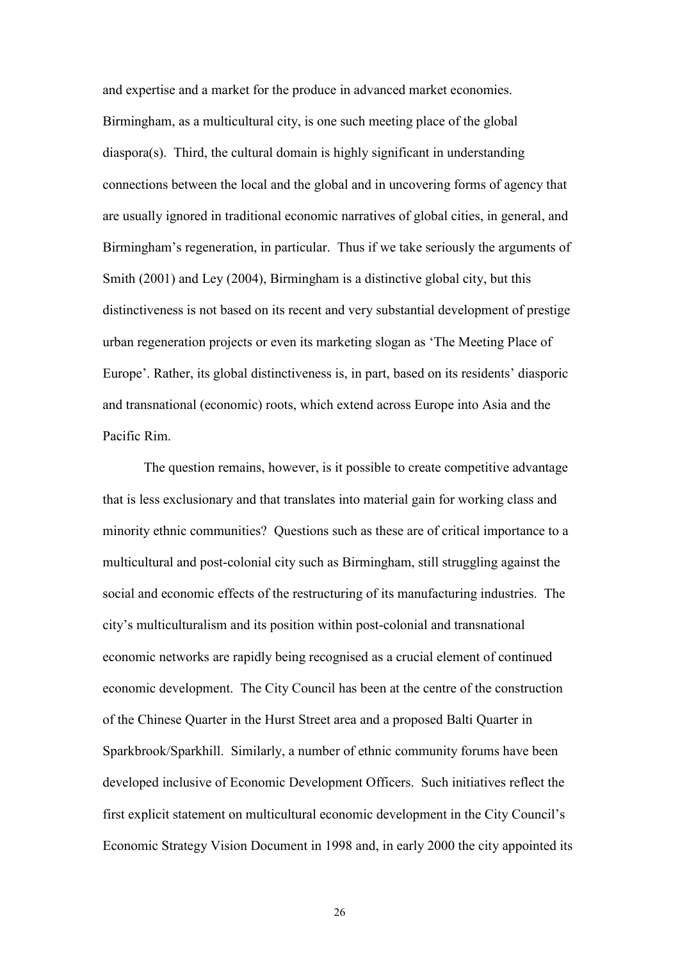and expertise and a market for the produce in advanced market economies. Birmingham, as a multicultural city, is one such meeting place of the global diaspora(s). Third, the cultural domain is highly significant in understanding connections between the local and the global and in uncovering forms of agency that are usually ignored in traditional economic narratives of global cities, in general, and Birmingham"s regeneration, in particular. Thus if we take seriously the arguments of Smith (2001) and Ley (2004), Birmingham is a distinctive global city, but this distinctiveness is not based on its recent and very substantial development of prestige urban regeneration projects or even its marketing slogan as "The Meeting Place of Europe'. Rather, its global distinctiveness is, in part, based on its residents' diasporic and transnational (economic) roots, which extend across Europe into Asia and the Pacific Rim.

The question remains, however, is it possible to create competitive advantage that is less exclusionary and that translates into material gain for working class and minority ethnic communities? Questions such as these are of critical importance to a multicultural and post-colonial city such as Birmingham, still struggling against the social and economic effects of the restructuring of its manufacturing industries. The city"s multiculturalism and its position within post-colonial and transnational economic networks are rapidly being recognised as a crucial element of continued economic development. The City Council has been at the centre of the construction of the Chinese Quarter in the Hurst Street area and a proposed Balti Quarter in Sparkbrook/Sparkhill. Similarly, a number of ethnic community forums have been developed inclusive of Economic Development Officers. Such initiatives reflect the first explicit statement on multicultural economic development in the City Council"s Economic Strategy Vision Document in 1998 and, in early 2000 the city appointed its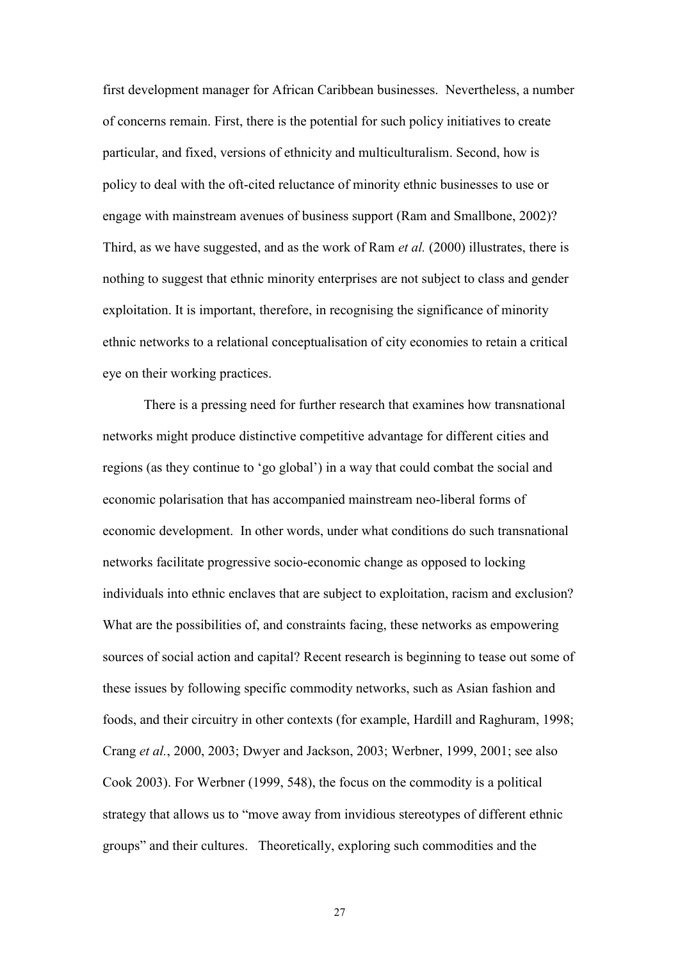first development manager for African Caribbean businesses. Nevertheless, a number of concerns remain. First, there is the potential for such policy initiatives to create particular, and fixed, versions of ethnicity and multiculturalism. Second, how is policy to deal with the oft-cited reluctance of minority ethnic businesses to use or engage with mainstream avenues of business support (Ram and Smallbone, 2002)? Third, as we have suggested, and as the work of Ram *et al.* (2000) illustrates, there is nothing to suggest that ethnic minority enterprises are not subject to class and gender exploitation. It is important, therefore, in recognising the significance of minority ethnic networks to a relational conceptualisation of city economies to retain a critical eye on their working practices.

There is a pressing need for further research that examines how transnational networks might produce distinctive competitive advantage for different cities and regions (as they continue to "go global") in a way that could combat the social and economic polarisation that has accompanied mainstream neo-liberal forms of economic development. In other words, under what conditions do such transnational networks facilitate progressive socio-economic change as opposed to locking individuals into ethnic enclaves that are subject to exploitation, racism and exclusion? What are the possibilities of, and constraints facing, these networks as empowering sources of social action and capital? Recent research is beginning to tease out some of these issues by following specific commodity networks, such as Asian fashion and foods, and their circuitry in other contexts (for example, Hardill and Raghuram, 1998; Crang *et al.*, 2000, 2003; Dwyer and Jackson, 2003; Werbner, 1999, 2001; see also Cook 2003). For Werbner (1999, 548), the focus on the commodity is a political strategy that allows us to "move away from invidious stereotypes of different ethnic groups" and their cultures. Theoretically, exploring such commodities and the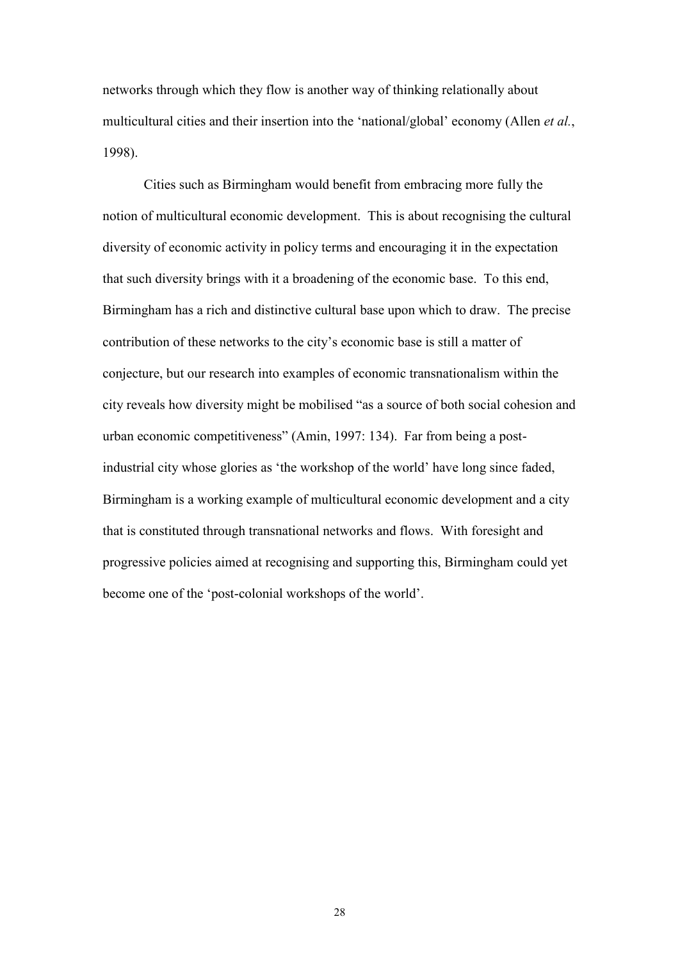networks through which they flow is another way of thinking relationally about multicultural cities and their insertion into the "national/global" economy (Allen *et al.*, 1998).

Cities such as Birmingham would benefit from embracing more fully the notion of multicultural economic development. This is about recognising the cultural diversity of economic activity in policy terms and encouraging it in the expectation that such diversity brings with it a broadening of the economic base. To this end, Birmingham has a rich and distinctive cultural base upon which to draw. The precise contribution of these networks to the city"s economic base is still a matter of conjecture, but our research into examples of economic transnationalism within the city reveals how diversity might be mobilised "as a source of both social cohesion and urban economic competitiveness" (Amin, 1997: 134). Far from being a postindustrial city whose glories as "the workshop of the world" have long since faded, Birmingham is a working example of multicultural economic development and a city that is constituted through transnational networks and flows. With foresight and progressive policies aimed at recognising and supporting this, Birmingham could yet become one of the "post-colonial workshops of the world".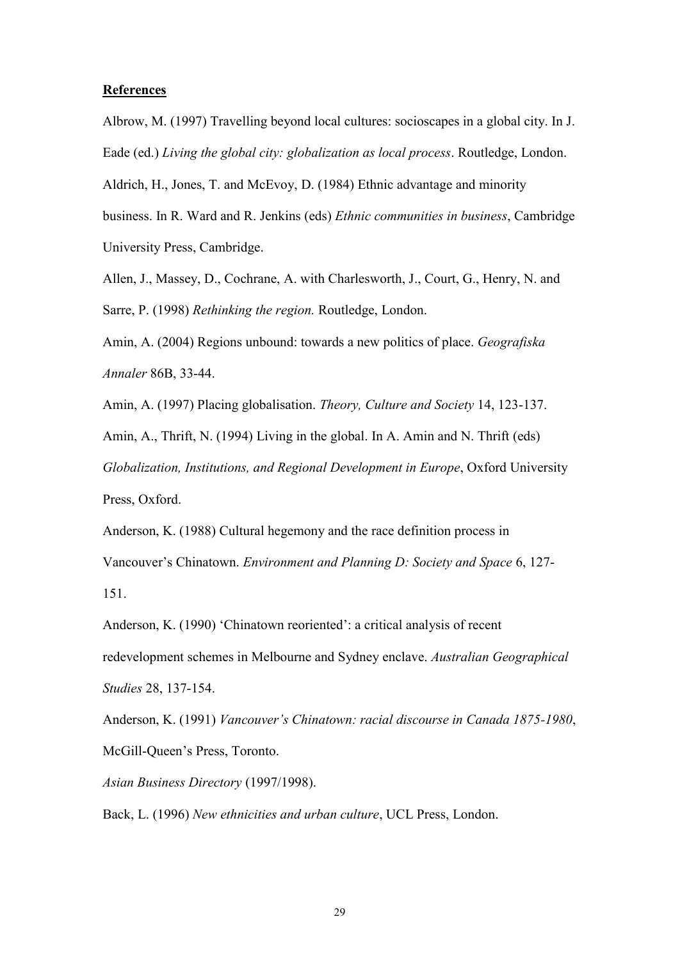#### **References**

Albrow, M. (1997) Travelling beyond local cultures: socioscapes in a global city. In J. Eade (ed.) *Living the global city: globalization as local process*. Routledge, London.

Aldrich, H., Jones, T. and McEvoy, D. (1984) Ethnic advantage and minority

business. In R. Ward and R. Jenkins (eds) *Ethnic communities in business*, Cambridge University Press, Cambridge.

Allen, J., Massey, D., Cochrane, A. with Charlesworth, J., Court, G., Henry, N. and Sarre, P. (1998) *Rethinking the region.* Routledge, London.

Amin, A. (2004) Regions unbound: towards a new politics of place. *Geografiska Annaler* 86B, 33-44.

Amin, A. (1997) Placing globalisation. *Theory, Culture and Society* 14, 123-137.

Amin, A., Thrift, N. (1994) Living in the global. In A. Amin and N. Thrift (eds) *Globalization, Institutions, and Regional Development in Europe*, Oxford University Press, Oxford.

Anderson, K. (1988) Cultural hegemony and the race definition process in Vancouver"s Chinatown. *Environment and Planning D: Society and Space* 6, 127- 151.

Anderson, K. (1990) 'Chinatown reoriented': a critical analysis of recent redevelopment schemes in Melbourne and Sydney enclave. *Australian Geographical Studies* 28, 137-154.

Anderson, K. (1991) *Vancouver's Chinatown: racial discourse in Canada 1875-1980*, McGill-Queen"s Press, Toronto.

*Asian Business Directory* (1997/1998).

Back, L. (1996) *New ethnicities and urban culture*, UCL Press, London.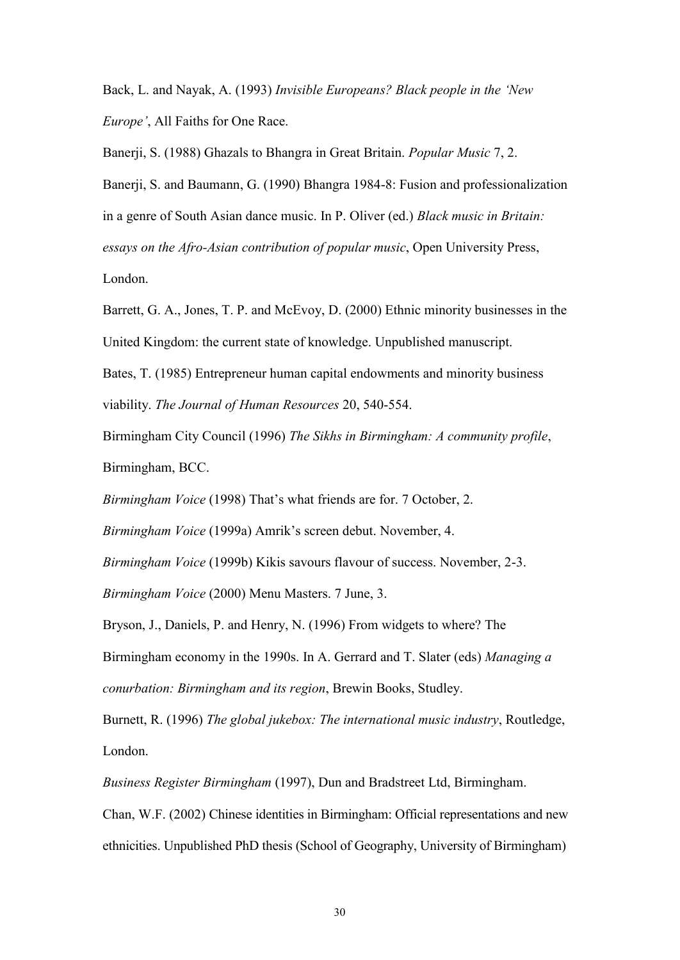Back, L. and Nayak, A. (1993) *Invisible Europeans? Black people in the 'New Europe'*, All Faiths for One Race.

Banerji, S. (1988) Ghazals to Bhangra in Great Britain. *Popular Music* 7, 2.

Banerji, S. and Baumann, G. (1990) Bhangra 1984-8: Fusion and professionalization in a genre of South Asian dance music. In P. Oliver (ed.) *Black music in Britain: essays on the Afro-Asian contribution of popular music*, Open University Press, London.

Barrett, G. A., Jones, T. P. and McEvoy, D. (2000) Ethnic minority businesses in the United Kingdom: the current state of knowledge. Unpublished manuscript.

Bates, T. (1985) Entrepreneur human capital endowments and minority business viability. *The Journal of Human Resources* 20, 540-554.

Birmingham City Council (1996) *The Sikhs in Birmingham: A community profile*, Birmingham, BCC.

*Birmingham Voice* (1998) That's what friends are for. 7 October, 2.

*Birmingham Voice* (1999a) Amrik's screen debut. November, 4.

*Birmingham Voice* (1999b) Kikis savours flavour of success. November, 2-3.

*Birmingham Voice* (2000) Menu Masters. 7 June, 3.

Bryson, J., Daniels, P. and Henry, N. (1996) From widgets to where? The

Birmingham economy in the 1990s. In A. Gerrard and T. Slater (eds) *Managing a conurbation: Birmingham and its region*, Brewin Books, Studley.

Burnett, R. (1996) *The global jukebox: The international music industry*, Routledge, London.

*Business Register Birmingham* (1997), Dun and Bradstreet Ltd, Birmingham.

Chan, W.F. (2002) Chinese identities in Birmingham: Official representations and new ethnicities. Unpublished PhD thesis (School of Geography, University of Birmingham)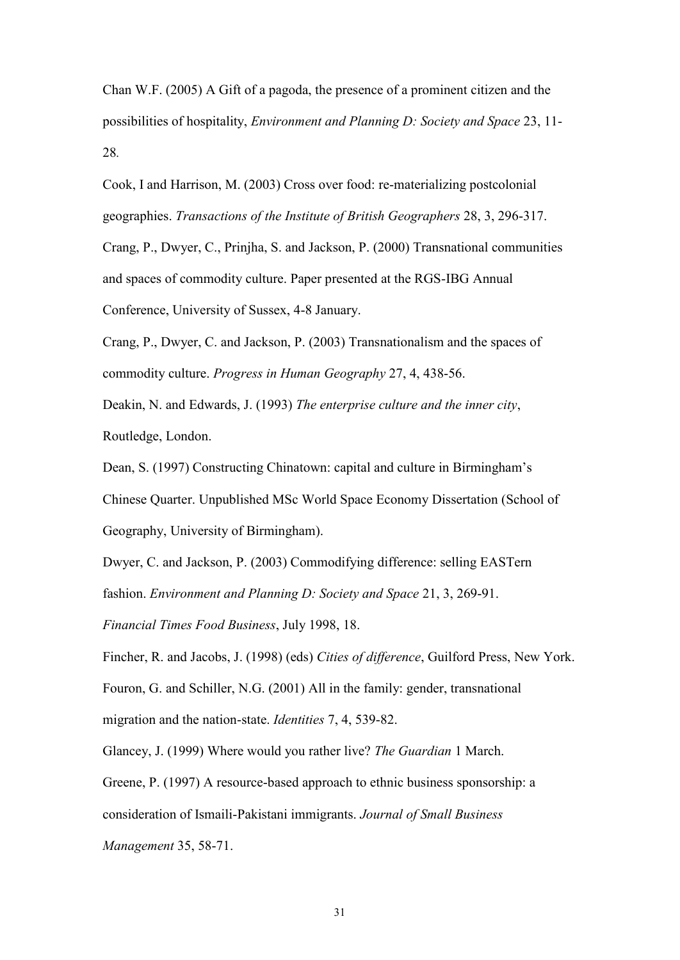Chan W.F. (2005) A Gift of a pagoda, the presence of a prominent citizen and the possibilities of hospitality, *Environment and Planning D: Society and Space* 23, 11- 28*.*

Cook, I and Harrison, M. (2003) Cross over food: re-materializing postcolonial geographies. *Transactions of the Institute of British Geographers* 28, 3, 296-317.

Crang, P., Dwyer, C., Prinjha, S. and Jackson, P. (2000) Transnational communities and spaces of commodity culture. Paper presented at the RGS-IBG Annual Conference, University of Sussex, 4-8 January.

Crang, P., Dwyer, C. and Jackson, P. (2003) Transnationalism and the spaces of commodity culture. *Progress in Human Geography* 27, 4, 438-56.

Deakin, N. and Edwards, J. (1993) *The enterprise culture and the inner city*, Routledge, London.

Dean, S. (1997) Constructing Chinatown: capital and culture in Birmingham"s Chinese Quarter. Unpublished MSc World Space Economy Dissertation (School of Geography, University of Birmingham).

Dwyer, C. and Jackson, P. (2003) Commodifying difference: selling EASTern

fashion. *Environment and Planning D: Society and Space* 21, 3, 269-91.

*Financial Times Food Business*, July 1998, 18.

Fincher, R. and Jacobs, J. (1998) (eds) *Cities of difference*, Guilford Press, New York. Fouron, G. and Schiller, N.G. (2001) All in the family: gender, transnational

migration and the nation-state. *Identities* 7, 4, 539-82.

Glancey, J. (1999) Where would you rather live? *The Guardian* 1 March.

Greene, P. (1997) A resource-based approach to ethnic business sponsorship: a

consideration of Ismaili-Pakistani immigrants. *Journal of Small Business* 

*Management* 35, 58-71.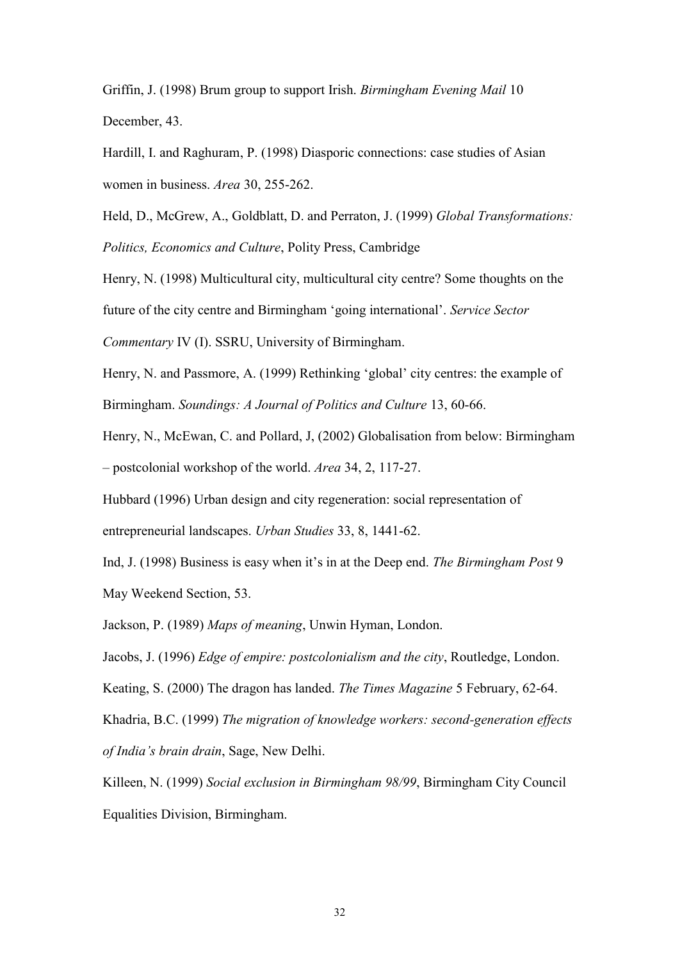Griffin, J. (1998) Brum group to support Irish. *Birmingham Evening Mail* 10 December, 43.

Hardill, I. and Raghuram, P. (1998) Diasporic connections: case studies of Asian women in business. *Area* 30, 255-262.

Held, D., McGrew, A., Goldblatt, D. and Perraton, J. (1999) *Global Transformations: Politics, Economics and Culture*, Polity Press, Cambridge

Henry, N. (1998) Multicultural city, multicultural city centre? Some thoughts on the

future of the city centre and Birmingham "going international". *Service Sector* 

*Commentary* IV (I). SSRU, University of Birmingham.

Henry, N. and Passmore, A. (1999) Rethinking "global" city centres: the example of Birmingham. *Soundings: A Journal of Politics and Culture* 13, 60-66.

Henry, N., McEwan, C. and Pollard, J, (2002) Globalisation from below: Birmingham – postcolonial workshop of the world. *Area* 34, 2, 117-27.

Hubbard (1996) Urban design and city regeneration: social representation of entrepreneurial landscapes. *Urban Studies* 33, 8, 1441-62.

Ind, J. (1998) Business is easy when it"s in at the Deep end. *The Birmingham Post* 9 May Weekend Section, 53.

Jackson, P. (1989) *Maps of meaning*, Unwin Hyman, London.

Jacobs, J. (1996) *Edge of empire: postcolonialism and the city*, Routledge, London.

Keating, S. (2000) The dragon has landed. *The Times Magazine* 5 February, 62-64.

Khadria, B.C. (1999) *The migration of knowledge workers: second-generation effects of India's brain drain*, Sage, New Delhi.

Killeen, N. (1999) *Social exclusion in Birmingham 98/99*, Birmingham City Council Equalities Division, Birmingham.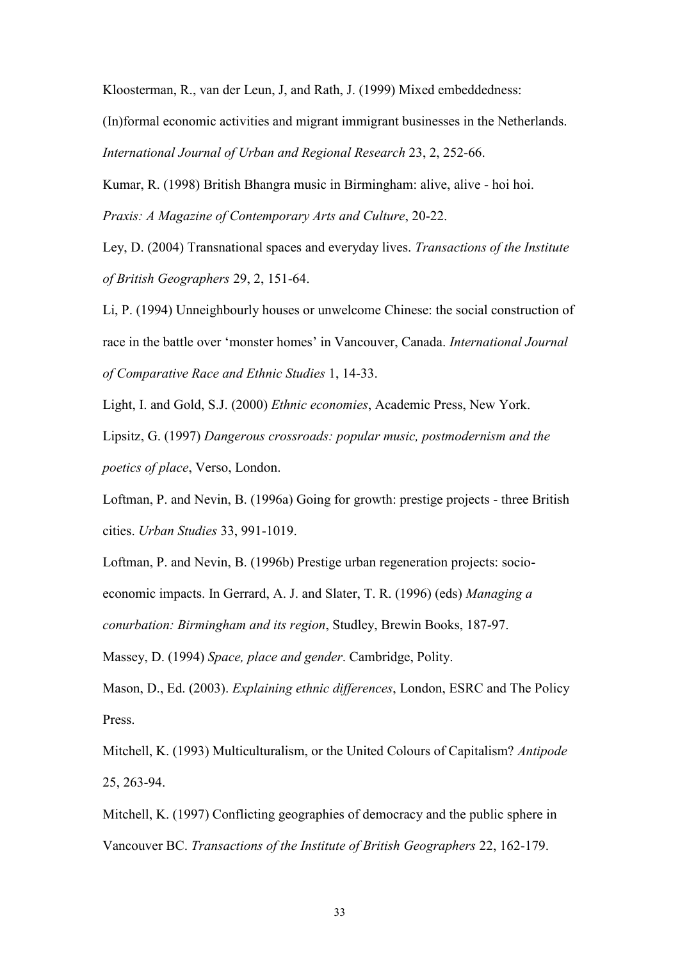Kloosterman, R., van der Leun, J, and Rath, J. (1999) Mixed embeddedness:

(In)formal economic activities and migrant immigrant businesses in the Netherlands. *International Journal of Urban and Regional Research* 23, 2, 252-66.

Kumar, R. (1998) British Bhangra music in Birmingham: alive, alive - hoi hoi.

*Praxis: A Magazine of Contemporary Arts and Culture*, 20-22.

Ley, D. (2004) Transnational spaces and everyday lives. *Transactions of the Institute of British Geographers* 29, 2, 151-64.

Li, P. (1994) Unneighbourly houses or unwelcome Chinese: the social construction of race in the battle over "monster homes" in Vancouver, Canada. *International Journal of Comparative Race and Ethnic Studies* 1, 14-33.

Light, I. and Gold, S.J. (2000) *Ethnic economies*, Academic Press, New York.

Lipsitz, G. (1997) *Dangerous crossroads: popular music, postmodernism and the poetics of place*, Verso, London.

Loftman, P. and Nevin, B. (1996a) Going for growth: prestige projects - three British cities. *Urban Studies* 33, 991-1019.

Loftman, P. and Nevin, B. (1996b) Prestige urban regeneration projects: socioeconomic impacts. In Gerrard, A. J. and Slater, T. R. (1996) (eds) *Managing a conurbation: Birmingham and its region*, Studley, Brewin Books, 187-97.

Massey, D. (1994) *Space, place and gender*. Cambridge, Polity.

Mason, D., Ed. (2003). *Explaining ethnic differences*, London, ESRC and The Policy Press.

Mitchell, K. (1993) Multiculturalism, or the United Colours of Capitalism? *Antipode* 25, 263-94.

Mitchell, K. (1997) Conflicting geographies of democracy and the public sphere in Vancouver BC. *Transactions of the Institute of British Geographers* 22, 162-179.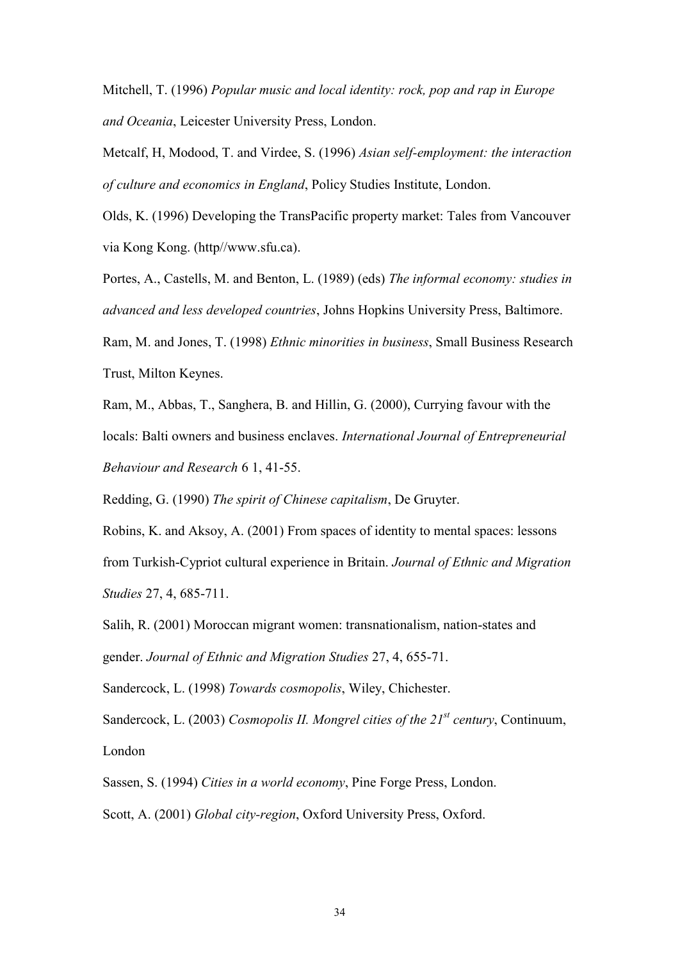Mitchell, T. (1996) *Popular music and local identity: rock, pop and rap in Europe and Oceania*, Leicester University Press, London.

Metcalf, H, Modood, T. and Virdee, S. (1996) *Asian self-employment: the interaction of culture and economics in England*, Policy Studies Institute, London.

Olds, K. (1996) Developing the TransPacific property market: Tales from Vancouver via Kong Kong. (http//www.sfu.ca).

Portes, A., Castells, M. and Benton, L. (1989) (eds) *The informal economy: studies in advanced and less developed countries*, Johns Hopkins University Press, Baltimore. Ram, M. and Jones, T. (1998) *Ethnic minorities in business*, Small Business Research Trust, Milton Keynes.

Ram, M., Abbas, T., Sanghera, B. and Hillin, G. (2000), Currying favour with the locals: Balti owners and business enclaves. *International Journal of Entrepreneurial Behaviour and Research* 6 1, 41-55.

Redding, G. (1990) *The spirit of Chinese capitalism*, De Gruyter.

Robins, K. and Aksoy, A. (2001) From spaces of identity to mental spaces: lessons from Turkish-Cypriot cultural experience in Britain. *Journal of Ethnic and Migration Studies* 27, 4, 685-711.

Salih, R. (2001) Moroccan migrant women: transnationalism, nation-states and gender. *Journal of Ethnic and Migration Studies* 27, 4, 655-71.

Sandercock, L. (1998) *Towards cosmopolis*, Wiley, Chichester.

Sandercock, L. (2003) *Cosmopolis II. Mongrel cities of the 21st century*, Continuum, London

Sassen, S. (1994) *Cities in a world economy*, Pine Forge Press, London. Scott, A. (2001) *Global city-region*, Oxford University Press, Oxford.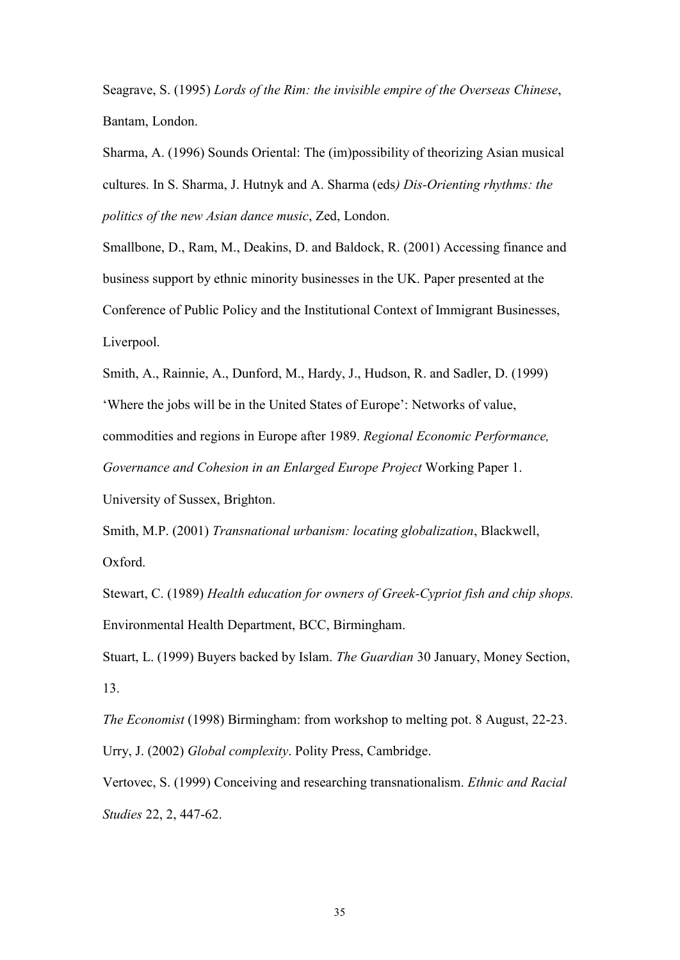Seagrave, S. (1995) *Lords of the Rim: the invisible empire of the Overseas Chinese*, Bantam, London.

Sharma, A. (1996) Sounds Oriental: The (im)possibility of theorizing Asian musical cultures. In S. Sharma, J. Hutnyk and A. Sharma (eds*) Dis-Orienting rhythms: the politics of the new Asian dance music*, Zed, London.

Smallbone, D., Ram, M., Deakins, D. and Baldock, R. (2001) Accessing finance and business support by ethnic minority businesses in the UK. Paper presented at the Conference of Public Policy and the Institutional Context of Immigrant Businesses, Liverpool.

Smith, A., Rainnie, A., Dunford, M., Hardy, J., Hudson, R. and Sadler, D. (1999) 'Where the jobs will be in the United States of Europe': Networks of value, commodities and regions in Europe after 1989. *Regional Economic Performance, Governance and Cohesion in an Enlarged Europe Project* Working Paper 1.

University of Sussex, Brighton.

Smith, M.P. (2001) *Transnational urbanism: locating globalization*, Blackwell, Oxford.

Stewart, C. (1989) *Health education for owners of Greek-Cypriot fish and chip shops.* Environmental Health Department, BCC, Birmingham.

Stuart, L. (1999) Buyers backed by Islam. *The Guardian* 30 January, Money Section, 13.

*The Economist* (1998) Birmingham: from workshop to melting pot. 8 August, 22-23. Urry, J. (2002) *Global complexity*. Polity Press, Cambridge.

Vertovec, S. (1999) Conceiving and researching transnationalism. *Ethnic and Racial Studies* 22, 2, 447-62.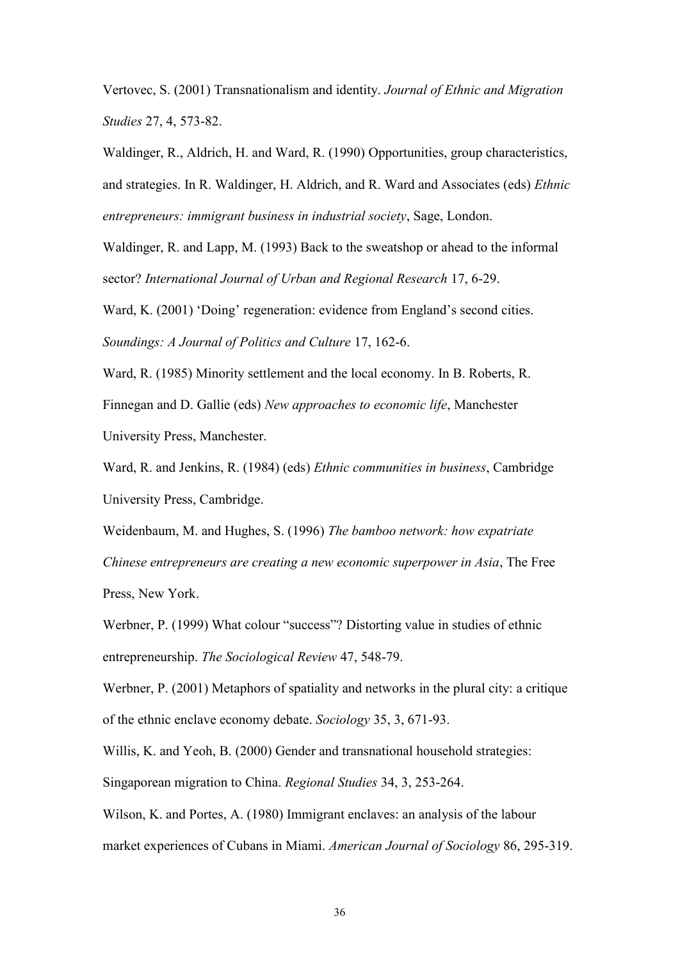Vertovec, S. (2001) Transnationalism and identity. *Journal of Ethnic and Migration Studies* 27, 4, 573-82.

Waldinger, R., Aldrich, H. and Ward, R. (1990) Opportunities, group characteristics, and strategies. In R. Waldinger, H. Aldrich, and R. Ward and Associates (eds) *Ethnic entrepreneurs: immigrant business in industrial society*, Sage, London.

Waldinger, R. and Lapp, M. (1993) Back to the sweatshop or ahead to the informal sector? *International Journal of Urban and Regional Research* 17, 6-29.

Ward, K. (2001) 'Doing' regeneration: evidence from England's second cities. *Soundings: A Journal of Politics and Culture* 17, 162-6.

Ward, R. (1985) Minority settlement and the local economy. In B. Roberts, R.

Finnegan and D. Gallie (eds) *New approaches to economic life*, Manchester

University Press, Manchester.

Ward, R. and Jenkins, R. (1984) (eds) *Ethnic communities in business*, Cambridge University Press, Cambridge.

Weidenbaum, M. and Hughes, S. (1996) *The bamboo network: how expatriate Chinese entrepreneurs are creating a new economic superpower in Asia*, The Free Press, New York.

Werbner, P. (1999) What colour "success"? Distorting value in studies of ethnic entrepreneurship. *The Sociological Review* 47, 548-79.

Werbner, P. (2001) Metaphors of spatiality and networks in the plural city: a critique of the ethnic enclave economy debate. *Sociology* 35, 3, 671-93.

Willis, K. and Yeoh, B. (2000) Gender and transnational household strategies: Singaporean migration to China. *Regional Studies* 34, 3, 253-264.

Wilson, K. and Portes, A. (1980) Immigrant enclaves: an analysis of the labour market experiences of Cubans in Miami. *American Journal of Sociology* 86, 295-319.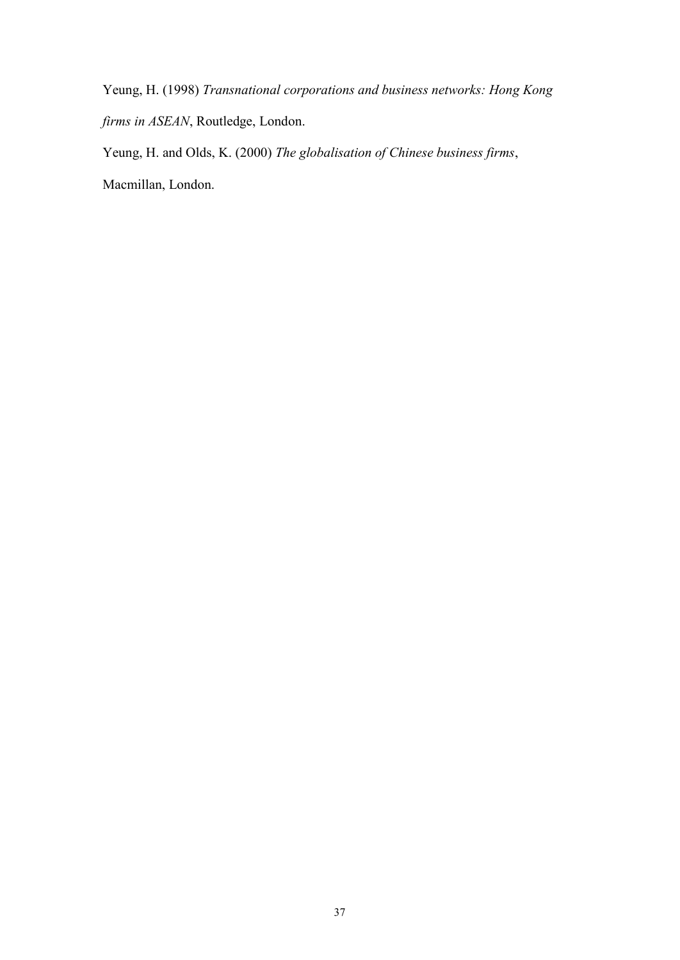Yeung, H. (1998) *Transnational corporations and business networks: Hong Kong firms in ASEAN*, Routledge, London.

Yeung, H. and Olds, K. (2000) *The globalisation of Chinese business firms*,

Macmillan, London.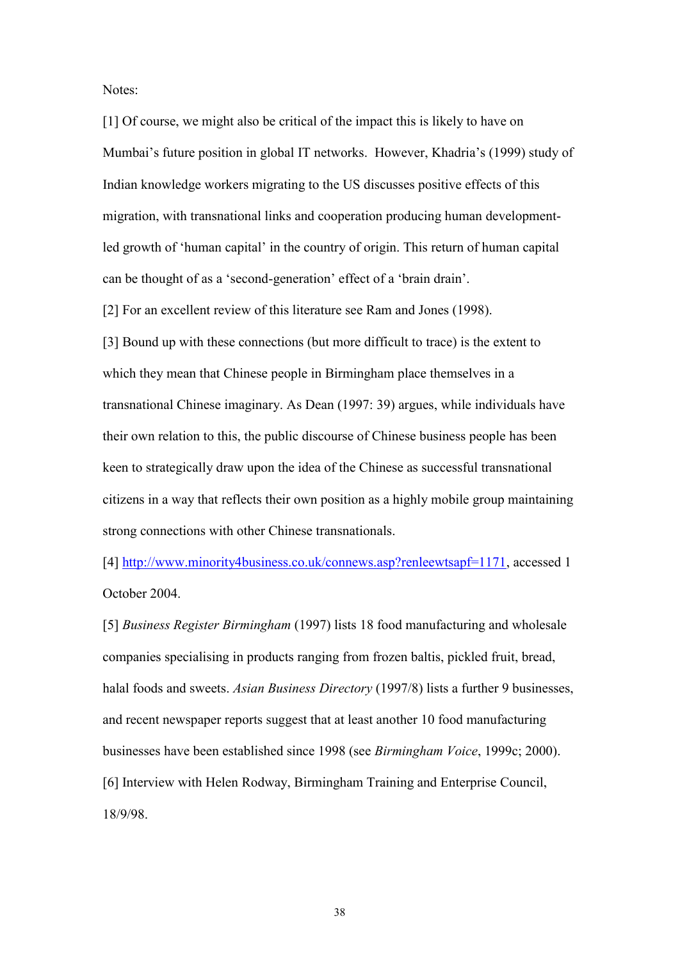Notes:

[1] Of course, we might also be critical of the impact this is likely to have on Mumbai's future position in global IT networks. However, Khadria's (1999) study of Indian knowledge workers migrating to the US discusses positive effects of this migration, with transnational links and cooperation producing human developmentled growth of 'human capital' in the country of origin. This return of human capital can be thought of as a "second-generation" effect of a "brain drain".

[2] For an excellent review of this literature see Ram and Jones (1998).

[3] Bound up with these connections (but more difficult to trace) is the extent to which they mean that Chinese people in Birmingham place themselves in a transnational Chinese imaginary. As Dean (1997: 39) argues, while individuals have their own relation to this, the public discourse of Chinese business people has been keen to strategically draw upon the idea of the Chinese as successful transnational citizens in a way that reflects their own position as a highly mobile group maintaining strong connections with other Chinese transnationals.

[4] [http://www.minority4business.co.uk/connews.asp?renleewtsapf=1171,](http://www.minority4business.co.uk/connews.asp?renleewtsapf=1171) accessed 1 October 2004.

[5] *Business Register Birmingham* (1997) lists 18 food manufacturing and wholesale companies specialising in products ranging from frozen baltis, pickled fruit, bread, halal foods and sweets. *Asian Business Directory* (1997/8) lists a further 9 businesses, and recent newspaper reports suggest that at least another 10 food manufacturing businesses have been established since 1998 (see *Birmingham Voice*, 1999c; 2000). [6] Interview with Helen Rodway, Birmingham Training and Enterprise Council, 18/9/98.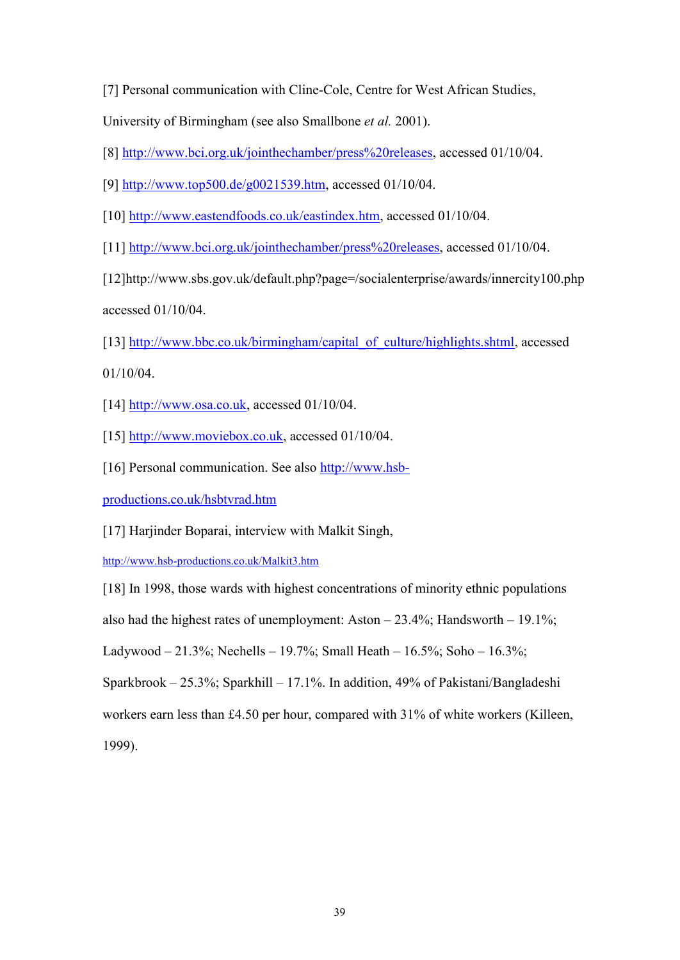[7] Personal communication with Cline-Cole, Centre for West African Studies,

University of Birmingham (see also Smallbone *et al.* 2001).

[8] [http://www.bci.org.uk/jointhechamber/press%20releases,](http://www.bci.org.uk/jointhechamber/press%20releases) accessed 01/10/04.

[9] [http://www.top500.de/g0021539.htm,](http://www.top500.de/g0021539.htm) accessed 01/10/04.

[10] [http://www.eastendfoods.co.uk/eastindex.htm,](http://www.eastendfoods.co.uk/eastindex.htm) accessed 01/10/04.

[11] [http://www.bci.org.uk/jointhechamber/press%20releases,](http://www.bci.org.uk/jointhechamber/press%20releases) accessed 01/10/04.

[12]http://www.sbs.gov.uk/default.php?page=/socialenterprise/awards/innercity100.php accessed 01/10/04.

[13] [http://www.bbc.co.uk/birmingham/capital\\_of\\_culture/highlights.shtml,](http://www.bbc.co.uk/birmingham/capital_of_culture/highlights.shtml) accessed

01/10/04.

[14]  $\frac{http://www.osa.co.uk, accessed 01/10/04.}{}$ 

[15] [http://www.moviebox.co.uk,](http://www.moviebox.co.uk/) accessed 01/10/04.

[16] Personal communication. See also [http://www.hsb-](http://www.hsb-productions.co.uk/hsbtvrad.htm)

[productions.co.uk/hsbtvrad.htm](http://www.hsb-productions.co.uk/hsbtvrad.htm)

[17] Harjinder Boparai, interview with Malkit Singh,

<http://www.hsb-productions.co.uk/Malkit3.htm>

[18] In 1998, those wards with highest concentrations of minority ethnic populations

also had the highest rates of unemployment: Aston  $-23.4\%$ ; Handsworth  $-19.1\%$ ;

Ladywood – 21.3%; Nechells – 19.7%; Small Heath – 16.5%; Soho – 16.3%;

Sparkbrook – 25.3%; Sparkhill – 17.1%. In addition, 49% of Pakistani/Bangladeshi

workers earn less than £4.50 per hour, compared with 31% of white workers (Killeen,

1999).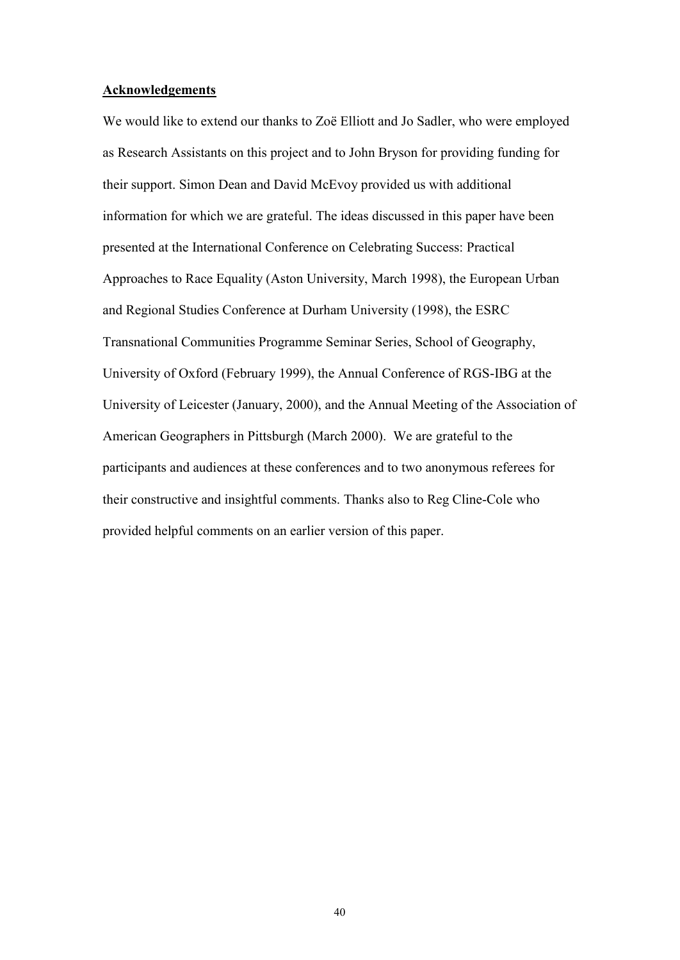#### **Acknowledgements**

We would like to extend our thanks to Zoë Elliott and Jo Sadler, who were employed as Research Assistants on this project and to John Bryson for providing funding for their support. Simon Dean and David McEvoy provided us with additional information for which we are grateful. The ideas discussed in this paper have been presented at the International Conference on Celebrating Success: Practical Approaches to Race Equality (Aston University, March 1998), the European Urban and Regional Studies Conference at Durham University (1998), the ESRC Transnational Communities Programme Seminar Series, School of Geography, University of Oxford (February 1999), the Annual Conference of RGS-IBG at the University of Leicester (January, 2000), and the Annual Meeting of the Association of American Geographers in Pittsburgh (March 2000). We are grateful to the participants and audiences at these conferences and to two anonymous referees for their constructive and insightful comments. Thanks also to Reg Cline-Cole who provided helpful comments on an earlier version of this paper.